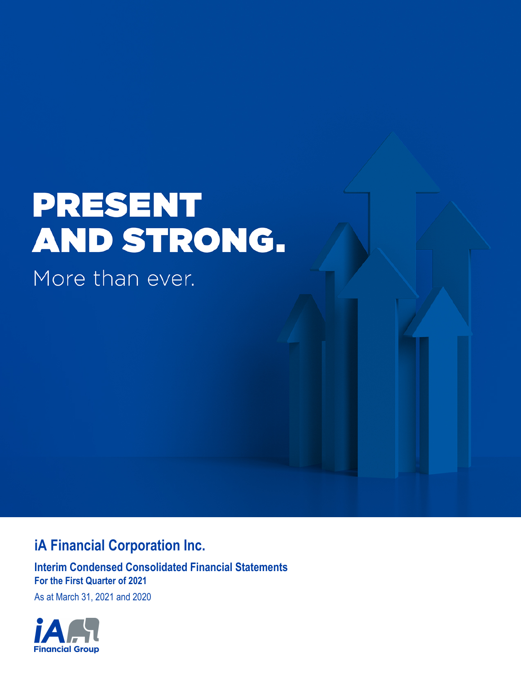# **PRESENT** AND STRONG.

More than ever.

# **iA Financial Corporation Inc.**

**Interim Condensed Consolidated Financial Statements For the First Quarter of 2021**

As at March 31, 2021 and 2020

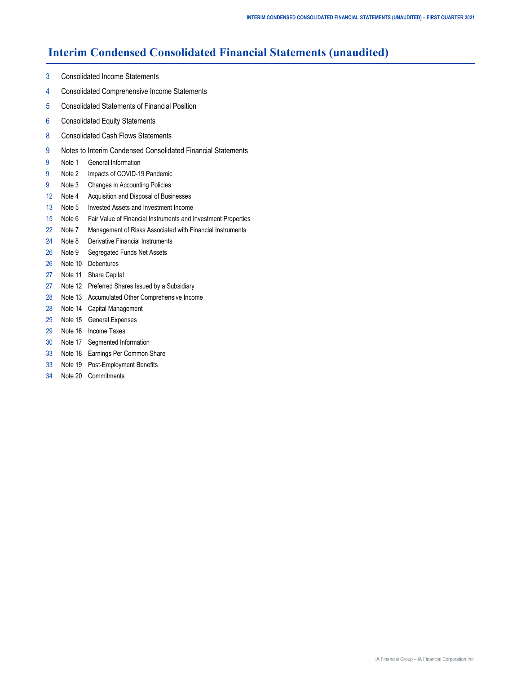# **Interim Condensed Consolidated Financial Statements (unaudited)**

- [3 Consolidated Income Statements](#page-2-0)
- [4 Consolidated Comprehensive Income Statements](#page-3-0)
- [5 Consolidated Statements of Financial Position](#page-4-0)
- [6 Consolidated Equity Statements](#page-5-0)
- [8 Consolidated Cash Flows Statements](#page-7-0)
- [9 Notes to Interim Condensed Consolidated Financial Statements](#page-8-0)
- [9 Note](#page-8-0) 1 [General Information](#page-8-0)
- [9](#page-8-0) [Note 2 Impacts of COVID-19 Pandemic](#page-8-0)
- [9 Note](#page-8-0) 3 [Changes in Accounting Policies](#page-8-0)
- [12 Note 4 Acquisition and Disposal of Businesses](#page-11-0)
- [13 Note 5 Invested Assets and Investment Income](#page-12-0)
- [15 Note 6 Fair Value of Financial Instruments and Investment Properties](#page-14-0)
- [22 Note 7 Management of Risks Associated with Financial Instruments](#page-21-0)
- [24 Note 8 Derivative Financial Instruments](#page-23-0)
- [26](#page-25-0) [Note 9 Segregated Funds Net Assets](#page-25-0)
- [26 Note 1](#page-25-0)0 [Debentures](#page-25-0)
- [27 Note 1](#page-26-0)1 [Share Capital](#page-26-0)
- [27 Note 1](#page-26-0)2 [Preferred Shares Issued by a Subsidiary](#page-26-0)
- [28 Note 1](#page-27-0)3 [Accumulated Other Comprehensive Income](#page-27-0)
- [28 Note 1](#page-27-0)4 [Capital Management](#page-27-0)
- [29](#page-28-0) [Note 15](#page-28-0) [General Expenses](#page-28-0)
- [29 Note 1](#page-28-0)6 [Income Taxes](#page-28-0)
- [30 Note 1](#page-29-0)7 [Segmented Information](#page-29-0)
- [33 Note 1](#page-32-0)8 [Earnings Per Common Share](#page-32-0)
- [33 Note 1](#page-32-0)9 [Post-Employment Benefits](#page-32-0)
- [34 Note 20 Commitments](#page-33-0)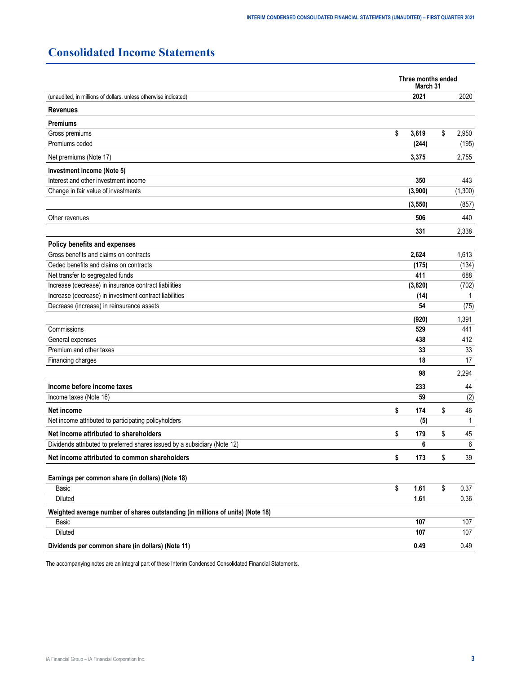# <span id="page-2-0"></span>**Consolidated Income Statements**

|                                                                                | Three months ended<br>March 31 |          |    |         |  |  |  |
|--------------------------------------------------------------------------------|--------------------------------|----------|----|---------|--|--|--|
| (unaudited, in millions of dollars, unless otherwise indicated)                |                                | 2021     |    | 2020    |  |  |  |
| <b>Revenues</b>                                                                |                                |          |    |         |  |  |  |
| <b>Premiums</b>                                                                |                                |          |    |         |  |  |  |
| Gross premiums                                                                 | \$                             | 3,619    | \$ | 2,950   |  |  |  |
| Premiums ceded                                                                 |                                | (244)    |    | (195)   |  |  |  |
| Net premiums (Note 17)                                                         |                                | 3,375    |    | 2,755   |  |  |  |
| Investment income (Note 5)                                                     |                                |          |    |         |  |  |  |
| Interest and other investment income                                           |                                | 350      |    | 443     |  |  |  |
| Change in fair value of investments                                            |                                | (3,900)  |    | (1,300) |  |  |  |
|                                                                                |                                | (3, 550) |    | (857)   |  |  |  |
| Other revenues                                                                 |                                | 506      |    | 440     |  |  |  |
|                                                                                |                                | 331      |    | 2,338   |  |  |  |
| Policy benefits and expenses                                                   |                                |          |    |         |  |  |  |
| Gross benefits and claims on contracts                                         |                                | 2,624    |    | 1,613   |  |  |  |
| Ceded benefits and claims on contracts                                         |                                | (175)    |    | (134)   |  |  |  |
| Net transfer to segregated funds                                               |                                | 411      |    | 688     |  |  |  |
| Increase (decrease) in insurance contract liabilities                          |                                | (3,820)  |    | (702)   |  |  |  |
| Increase (decrease) in investment contract liabilities                         |                                | (14)     |    | 1       |  |  |  |
| Decrease (increase) in reinsurance assets                                      |                                | 54       |    | (75)    |  |  |  |
|                                                                                |                                | (920)    |    | 1,391   |  |  |  |
| Commissions                                                                    |                                | 529      |    | 441     |  |  |  |
| General expenses                                                               |                                | 438      |    | 412     |  |  |  |
| Premium and other taxes                                                        |                                | 33       |    | 33      |  |  |  |
| Financing charges                                                              |                                | 18       |    | 17      |  |  |  |
|                                                                                |                                | 98       |    | 2,294   |  |  |  |
| Income before income taxes                                                     |                                | 233      |    | 44      |  |  |  |
| Income taxes (Note 16)                                                         |                                | 59       |    | (2)     |  |  |  |
| Net income                                                                     | \$                             | 174      | \$ | 46      |  |  |  |
| Net income attributed to participating policyholders                           |                                | (5)      |    | 1       |  |  |  |
| Net income attributed to shareholders                                          | \$                             | 179      | \$ | 45      |  |  |  |
| Dividends attributed to preferred shares issued by a subsidiary (Note 12)      |                                | 6        |    | 6       |  |  |  |
| Net income attributed to common shareholders                                   | \$                             | 173      | \$ | 39      |  |  |  |
|                                                                                |                                |          |    |         |  |  |  |
| Earnings per common share (in dollars) (Note 18)<br>Basic                      | \$                             | 1.61     | \$ | 0.37    |  |  |  |
| <b>Diluted</b>                                                                 |                                | 1.61     |    | 0.36    |  |  |  |
| Weighted average number of shares outstanding (in millions of units) (Note 18) |                                |          |    |         |  |  |  |
| Basic                                                                          |                                | 107      |    | 107     |  |  |  |
| Diluted                                                                        |                                | 107      |    | 107     |  |  |  |
| Dividends per common share (in dollars) (Note 11)                              |                                | 0.49     |    | 0.49    |  |  |  |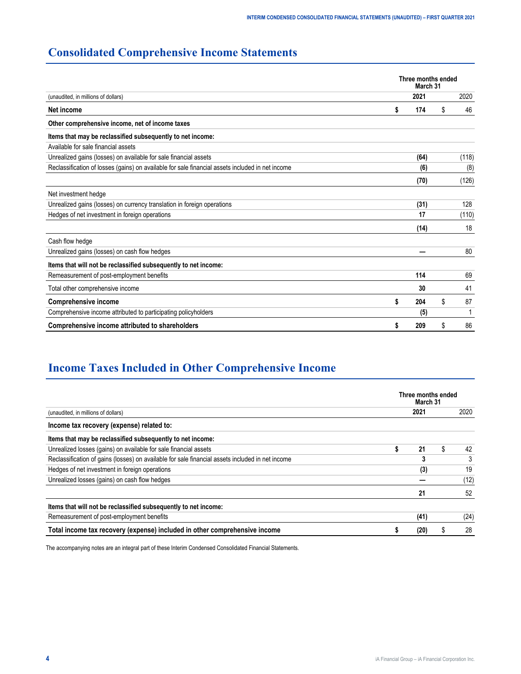# <span id="page-3-0"></span>**Consolidated Comprehensive Income Statements**

|                                                                                                  | Three months ended<br>March 31 |      |    |       |  |  |  |  |
|--------------------------------------------------------------------------------------------------|--------------------------------|------|----|-------|--|--|--|--|
| (unaudited, in millions of dollars)                                                              |                                | 2021 |    | 2020  |  |  |  |  |
| Net income                                                                                       |                                | 174  | \$ | 46    |  |  |  |  |
| Other comprehensive income, net of income taxes                                                  |                                |      |    |       |  |  |  |  |
| Items that may be reclassified subsequently to net income:                                       |                                |      |    |       |  |  |  |  |
| Available for sale financial assets                                                              |                                |      |    |       |  |  |  |  |
| Unrealized gains (losses) on available for sale financial assets                                 |                                | (64) |    | (118) |  |  |  |  |
| Reclassification of losses (gains) on available for sale financial assets included in net income |                                | (6)  |    | (8)   |  |  |  |  |
|                                                                                                  |                                | (70) |    | (126) |  |  |  |  |
| Net investment hedge                                                                             |                                |      |    |       |  |  |  |  |
| Unrealized gains (losses) on currency translation in foreign operations                          |                                | (31) |    | 128   |  |  |  |  |
| Hedges of net investment in foreign operations                                                   |                                | 17   |    | (110) |  |  |  |  |
|                                                                                                  |                                | (14) |    | 18    |  |  |  |  |
| Cash flow hedge                                                                                  |                                |      |    |       |  |  |  |  |
| Unrealized gains (losses) on cash flow hedges                                                    |                                |      |    | 80    |  |  |  |  |
| Items that will not be reclassified subsequently to net income:                                  |                                |      |    |       |  |  |  |  |
| Remeasurement of post-employment benefits                                                        |                                | 114  |    | 69    |  |  |  |  |
| Total other comprehensive income                                                                 |                                | 30   |    | 41    |  |  |  |  |
| <b>Comprehensive income</b>                                                                      | S                              | 204  | \$ | 87    |  |  |  |  |
| Comprehensive income attributed to participating policyholders                                   |                                | (5)  |    |       |  |  |  |  |
| Comprehensive income attributed to shareholders                                                  |                                | 209  | S. | 86    |  |  |  |  |

# **Income Taxes Included in Other Comprehensive Income**

|                                                                                                  | Three months ended<br>March 31 |      |    |      |  |  |  |  |
|--------------------------------------------------------------------------------------------------|--------------------------------|------|----|------|--|--|--|--|
| (unaudited, in millions of dollars)                                                              |                                | 2021 |    | 2020 |  |  |  |  |
| Income tax recovery (expense) related to:                                                        |                                |      |    |      |  |  |  |  |
| Items that may be reclassified subsequently to net income:                                       |                                |      |    |      |  |  |  |  |
| Unrealized losses (gains) on available for sale financial assets                                 |                                | 21   | S. | 42   |  |  |  |  |
| Reclassification of gains (losses) on available for sale financial assets included in net income |                                | 3    |    | 3    |  |  |  |  |
| Hedges of net investment in foreign operations                                                   |                                | (3)  |    | 19   |  |  |  |  |
| Unrealized losses (gains) on cash flow hedges                                                    |                                |      |    | (12) |  |  |  |  |
|                                                                                                  |                                | 21   |    | 52   |  |  |  |  |
| Items that will not be reclassified subsequently to net income:                                  |                                |      |    |      |  |  |  |  |
| Remeasurement of post-employment benefits                                                        |                                | (41) |    | (24) |  |  |  |  |
| Total income tax recovery (expense) included in other comprehensive income                       |                                | (20) | ä, | 28   |  |  |  |  |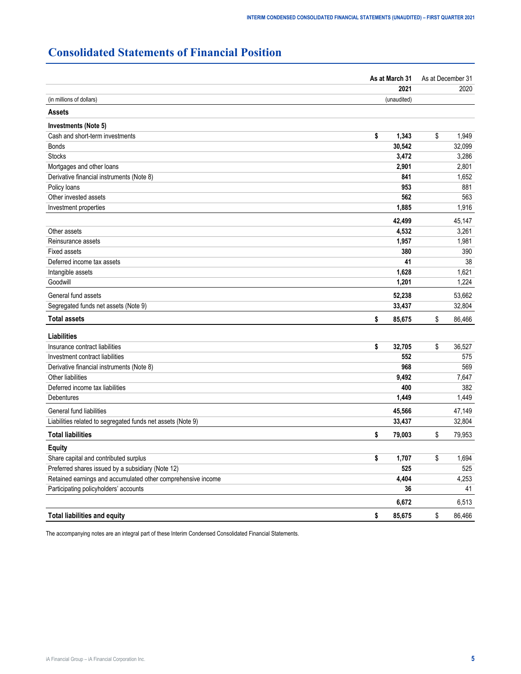# <span id="page-4-0"></span>**Consolidated Statements of Financial Position**

|                                                              | As at March 31 | As at December 31<br>2020 |  |  |
|--------------------------------------------------------------|----------------|---------------------------|--|--|
|                                                              | 2021           |                           |  |  |
| (in millions of dollars)                                     | (unaudited)    |                           |  |  |
| <b>Assets</b>                                                |                |                           |  |  |
| Investments (Note 5)                                         |                |                           |  |  |
| Cash and short-term investments                              | \$<br>1,343    | \$<br>1,949               |  |  |
| <b>Bonds</b>                                                 | 30,542         | 32,099                    |  |  |
| <b>Stocks</b>                                                | 3,472          | 3,286                     |  |  |
| Mortgages and other loans                                    | 2,901          | 2,801                     |  |  |
| Derivative financial instruments (Note 8)                    | 841            | 1,652                     |  |  |
| Policy loans                                                 | 953            | 881                       |  |  |
| Other invested assets                                        | 562            | 563                       |  |  |
| Investment properties                                        | 1,885          | 1,916                     |  |  |
|                                                              | 42,499         | 45,147                    |  |  |
| Other assets                                                 | 4,532          | 3,261                     |  |  |
| Reinsurance assets                                           | 1,957          | 1,981                     |  |  |
| <b>Fixed assets</b>                                          | 380            | 390                       |  |  |
| Deferred income tax assets                                   | 41             | 38                        |  |  |
| Intangible assets                                            | 1,628          | 1,621                     |  |  |
| Goodwill                                                     | 1,201          | 1,224                     |  |  |
| General fund assets                                          | 52,238         | 53,662                    |  |  |
| Segregated funds net assets (Note 9)                         | 33,437         | 32,804                    |  |  |
| <b>Total assets</b>                                          | \$<br>85,675   | \$<br>86,466              |  |  |
| <b>Liabilities</b>                                           |                |                           |  |  |
| Insurance contract liabilities                               | \$<br>32,705   | \$<br>36,527              |  |  |
| Investment contract liabilities                              | 552            | 575                       |  |  |
| Derivative financial instruments (Note 8)                    | 968            | 569                       |  |  |
| Other liabilities                                            | 9,492          | 7,647                     |  |  |
| Deferred income tax liabilities                              | 400            | 382                       |  |  |
| Debentures                                                   | 1,449          | 1,449                     |  |  |
| General fund liabilities                                     | 45,566         | 47,149                    |  |  |
| Liabilities related to segregated funds net assets (Note 9)  | 33,437         | 32,804                    |  |  |
| <b>Total liabilities</b>                                     | \$<br>79,003   | \$<br>79,953              |  |  |
| <b>Equity</b>                                                |                |                           |  |  |
| Share capital and contributed surplus                        | \$<br>1,707    | \$<br>1,694               |  |  |
| Preferred shares issued by a subsidiary (Note 12)            | 525            | 525                       |  |  |
| Retained earnings and accumulated other comprehensive income | 4,404          | 4,253                     |  |  |
| Participating policyholders' accounts                        | 36             | 41                        |  |  |
|                                                              | 6,672          | 6,513                     |  |  |
| <b>Total liabilities and equity</b>                          | \$<br>85,675   | \$<br>86,466              |  |  |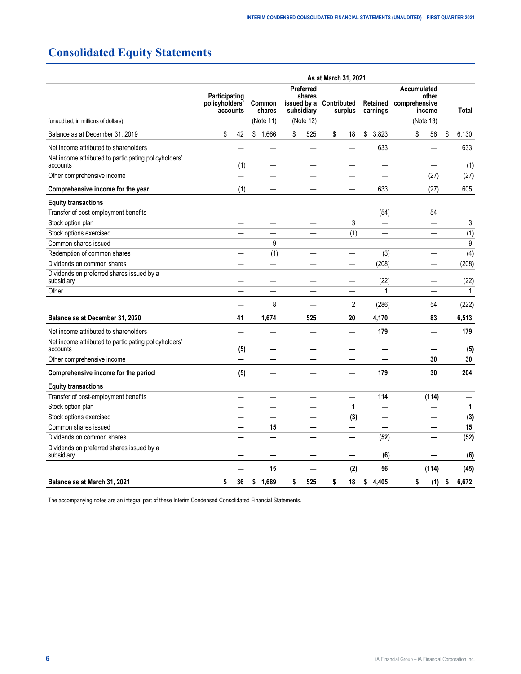# <span id="page-5-0"></span>**Consolidated Equity Statements**

|                                                                   | As at March 31, 2021                                                   |                          |             |                                   |                                    |                      |                                                 |              |  |  |  |  |
|-------------------------------------------------------------------|------------------------------------------------------------------------|--------------------------|-------------|-----------------------------------|------------------------------------|----------------------|-------------------------------------------------|--------------|--|--|--|--|
|                                                                   | Participating<br>policyholders'<br><b>Common</b><br>shares<br>accounts |                          |             | Preferred<br>shares<br>subsidiary | issued by a Contributed<br>surplus | Retained<br>earnings | Accumulated<br>other<br>comprehensive<br>income | Total        |  |  |  |  |
| (unaudited, in millions of dollars)                               |                                                                        |                          | (Note 11)   | (Note 12)                         |                                    |                      | (Note 13)                                       |              |  |  |  |  |
| Balance as at December 31, 2019                                   | \$                                                                     | 42                       | \$1,666     | 525<br>\$                         | \$<br>18                           | \$<br>3,823          | 56<br>\$                                        | \$<br>6,130  |  |  |  |  |
| Net income attributed to shareholders                             |                                                                        |                          |             |                                   |                                    | 633                  |                                                 | 633          |  |  |  |  |
| Net income attributed to participating policyholders'<br>accounts |                                                                        | (1)                      |             |                                   |                                    |                      |                                                 | (1)          |  |  |  |  |
| Other comprehensive income                                        |                                                                        |                          |             |                                   |                                    |                      | (27)                                            | (27)         |  |  |  |  |
| Comprehensive income for the year                                 |                                                                        | (1)                      |             |                                   | —                                  | 633                  | (27)                                            | 605          |  |  |  |  |
| <b>Equity transactions</b>                                        |                                                                        |                          |             |                                   |                                    |                      |                                                 |              |  |  |  |  |
| Transfer of post-employment benefits                              |                                                                        |                          |             |                                   |                                    | (54)                 | 54                                              |              |  |  |  |  |
| Stock option plan                                                 |                                                                        |                          |             |                                   | 3                                  | —                    | —                                               | 3            |  |  |  |  |
| Stock options exercised                                           |                                                                        |                          |             |                                   | (1)                                |                      |                                                 | (1)          |  |  |  |  |
| Common shares issued                                              |                                                                        |                          | 9           |                                   | ▃                                  | ÷.                   |                                                 | 9            |  |  |  |  |
| Redemption of common shares                                       |                                                                        |                          | (1)         |                                   | —                                  | (3)                  |                                                 | (4)          |  |  |  |  |
| Dividends on common shares                                        |                                                                        |                          |             |                                   | $\overline{\phantom{0}}$           | (208)                |                                                 | (208)        |  |  |  |  |
| Dividends on preferred shares issued by a<br>subsidiary           |                                                                        |                          |             |                                   |                                    | (22)                 |                                                 | (22)         |  |  |  |  |
| Other                                                             |                                                                        |                          |             |                                   |                                    | 1                    |                                                 | 1            |  |  |  |  |
|                                                                   |                                                                        |                          | 8           |                                   | 2                                  | (286)                | 54                                              | (222)        |  |  |  |  |
| Balance as at December 31, 2020                                   |                                                                        | 41                       | 1,674       | 525                               | 20                                 | 4,170                | 83                                              | 6,513        |  |  |  |  |
| Net income attributed to shareholders                             |                                                                        |                          |             |                                   |                                    | 179                  |                                                 | 179          |  |  |  |  |
| Net income attributed to participating policyholders'<br>accounts |                                                                        | (5)                      |             |                                   |                                    |                      |                                                 | (5)          |  |  |  |  |
| Other comprehensive income                                        |                                                                        |                          |             |                                   |                                    |                      | 30                                              | 30           |  |  |  |  |
| Comprehensive income for the period                               |                                                                        | (5)                      |             |                                   |                                    | 179                  | 30                                              | 204          |  |  |  |  |
| <b>Equity transactions</b>                                        |                                                                        |                          |             |                                   |                                    |                      |                                                 |              |  |  |  |  |
| Transfer of post-employment benefits                              |                                                                        | $\overline{\phantom{0}}$ |             |                                   | —                                  | 114                  | (114)                                           |              |  |  |  |  |
| Stock option plan                                                 |                                                                        |                          |             |                                   | 1                                  |                      |                                                 | $\mathbf{1}$ |  |  |  |  |
| Stock options exercised                                           |                                                                        |                          |             |                                   | (3)                                | —                    |                                                 | (3)          |  |  |  |  |
| Common shares issued                                              |                                                                        |                          | 15          |                                   |                                    |                      |                                                 | 15           |  |  |  |  |
| Dividends on common shares                                        |                                                                        |                          |             |                                   |                                    | (52)                 |                                                 | (52)         |  |  |  |  |
| Dividends on preferred shares issued by a<br>subsidiary           |                                                                        |                          |             |                                   |                                    | (6)                  |                                                 | (6)          |  |  |  |  |
|                                                                   |                                                                        |                          | 15          |                                   | (2)                                | 56                   | (114)                                           | (45)         |  |  |  |  |
| Balance as at March 31, 2021                                      | \$                                                                     | 36                       | \$<br>1,689 | \$<br>525                         | \$<br>18                           | \$<br>4.405          | \$<br>(1)                                       | \$<br>6,672  |  |  |  |  |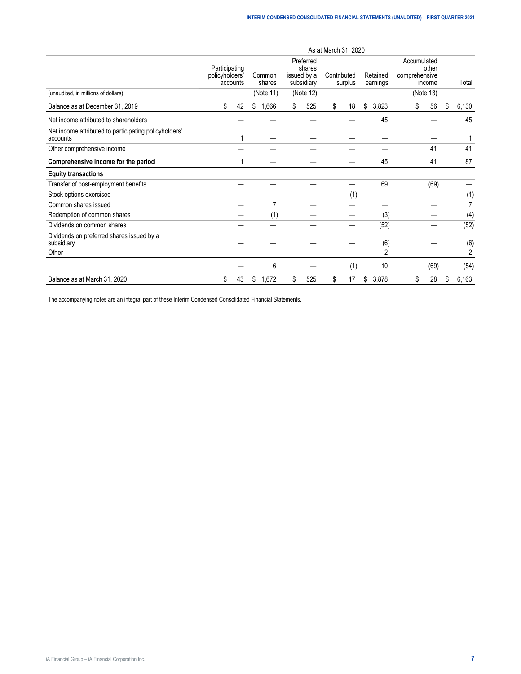|                                                                   | As at March 31, 2020                        |    |                                                                                                                                     |    |           |    |     |    |                                                              |    |      |       |              |
|-------------------------------------------------------------------|---------------------------------------------|----|-------------------------------------------------------------------------------------------------------------------------------------|----|-----------|----|-----|----|--------------------------------------------------------------|----|------|-------|--------------|
| (unaudited, in millions of dollars)                               | Participating<br>policyholders'<br>accounts |    | Preferred<br>shares<br>Contributed<br>Common<br>issued by a<br>Retained<br>shares<br>surplus<br>subsidiary<br>earnings<br>(Note 11) |    | (Note 12) |    |     |    | Accumulated<br>other<br>comprehensive<br>income<br>(Note 13) |    |      | Total |              |
| Balance as at December 31, 2019                                   | \$                                          | 42 | \$<br>1,666                                                                                                                         | \$ | 525       | \$ | 18  | \$ | 3,823                                                        | \$ | 56   | \$    | 6,130        |
| Net income attributed to shareholders                             |                                             |    |                                                                                                                                     |    |           |    |     |    | 45                                                           |    |      |       | 45           |
| Net income attributed to participating policyholders'<br>accounts |                                             |    |                                                                                                                                     |    |           |    |     |    |                                                              |    |      |       |              |
| Other comprehensive income                                        |                                             |    |                                                                                                                                     |    |           |    |     |    |                                                              |    | 41   |       | 41           |
| Comprehensive income for the period                               |                                             |    |                                                                                                                                     |    |           |    |     |    | 45                                                           |    | 41   |       | 87           |
| <b>Equity transactions</b>                                        |                                             |    |                                                                                                                                     |    |           |    |     |    |                                                              |    |      |       |              |
| Transfer of post-employment benefits                              |                                             |    |                                                                                                                                     |    |           |    |     |    | 69                                                           |    | (69) |       |              |
| Stock options exercised                                           |                                             |    |                                                                                                                                     |    |           |    | (1) |    |                                                              |    |      |       | (1)          |
| Common shares issued                                              |                                             |    |                                                                                                                                     |    |           |    |     |    |                                                              |    |      |       | 7            |
| Redemption of common shares                                       |                                             |    | (1)                                                                                                                                 |    |           |    |     |    | (3)                                                          |    |      |       | (4)          |
| Dividends on common shares                                        |                                             |    |                                                                                                                                     |    |           |    |     |    | (52)                                                         |    |      |       | (52)         |
| Dividends on preferred shares issued by a<br>subsidiary           |                                             |    |                                                                                                                                     |    |           |    |     |    | (6)                                                          |    |      |       | (6)          |
| Other                                                             |                                             |    |                                                                                                                                     |    |           |    |     |    | $\overline{2}$                                               |    |      |       | $\mathbf{2}$ |
|                                                                   |                                             |    | 6                                                                                                                                   |    |           |    | (1) |    | 10                                                           |    | (69) |       | (54)         |
| Balance as at March 31, 2020                                      | \$                                          | 43 | 1,672<br>\$                                                                                                                         | \$ | 525       | \$ | 17  | \$ | 3,878                                                        | \$ | 28   | \$    | 6,163        |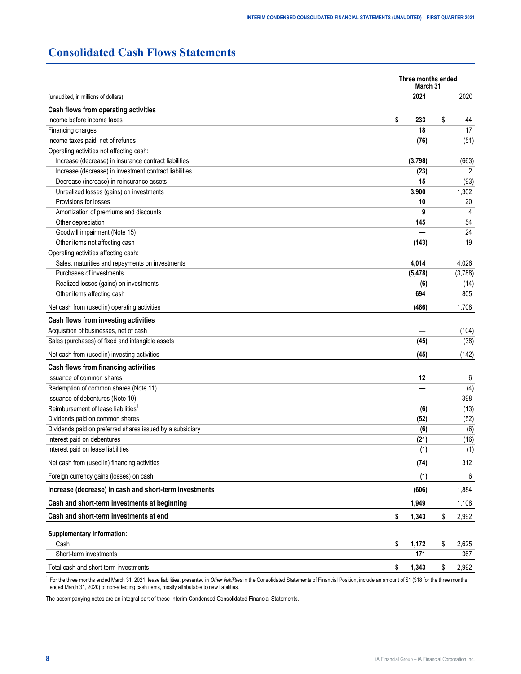# <span id="page-7-0"></span>**Consolidated Cash Flows Statements**

| 2021<br>2020<br>(unaudited, in millions of dollars)<br>Cash flows from operating activities<br>Income before income taxes<br>\$<br>233<br>\$<br>44<br>18<br>17<br>Financing charges<br>Income taxes paid, net of refunds<br>(51)<br>(76)<br>Operating activities not affecting cash:<br>Increase (decrease) in insurance contract liabilities<br>(3,798)<br>(663)<br>Increase (decrease) in investment contract liabilities<br>(23)<br>2<br>Decrease (increase) in reinsurance assets<br>15<br>(93)<br>Unrealized losses (gains) on investments<br>3,900<br>1,302<br>Provisions for losses<br>10<br>20<br>Amortization of premiums and discounts<br>9<br>4<br>Other depreciation<br>145<br>54<br>24<br>Goodwill impairment (Note 15)<br>Other items not affecting cash<br>19<br>(143)<br>Operating activities affecting cash:<br>Sales, maturities and repayments on investments<br>4,014<br>4,026<br>Purchases of investments<br>(5, 478)<br>(3,788) |
|-------------------------------------------------------------------------------------------------------------------------------------------------------------------------------------------------------------------------------------------------------------------------------------------------------------------------------------------------------------------------------------------------------------------------------------------------------------------------------------------------------------------------------------------------------------------------------------------------------------------------------------------------------------------------------------------------------------------------------------------------------------------------------------------------------------------------------------------------------------------------------------------------------------------------------------------------------|
|                                                                                                                                                                                                                                                                                                                                                                                                                                                                                                                                                                                                                                                                                                                                                                                                                                                                                                                                                       |
|                                                                                                                                                                                                                                                                                                                                                                                                                                                                                                                                                                                                                                                                                                                                                                                                                                                                                                                                                       |
|                                                                                                                                                                                                                                                                                                                                                                                                                                                                                                                                                                                                                                                                                                                                                                                                                                                                                                                                                       |
|                                                                                                                                                                                                                                                                                                                                                                                                                                                                                                                                                                                                                                                                                                                                                                                                                                                                                                                                                       |
|                                                                                                                                                                                                                                                                                                                                                                                                                                                                                                                                                                                                                                                                                                                                                                                                                                                                                                                                                       |
|                                                                                                                                                                                                                                                                                                                                                                                                                                                                                                                                                                                                                                                                                                                                                                                                                                                                                                                                                       |
|                                                                                                                                                                                                                                                                                                                                                                                                                                                                                                                                                                                                                                                                                                                                                                                                                                                                                                                                                       |
|                                                                                                                                                                                                                                                                                                                                                                                                                                                                                                                                                                                                                                                                                                                                                                                                                                                                                                                                                       |
|                                                                                                                                                                                                                                                                                                                                                                                                                                                                                                                                                                                                                                                                                                                                                                                                                                                                                                                                                       |
|                                                                                                                                                                                                                                                                                                                                                                                                                                                                                                                                                                                                                                                                                                                                                                                                                                                                                                                                                       |
|                                                                                                                                                                                                                                                                                                                                                                                                                                                                                                                                                                                                                                                                                                                                                                                                                                                                                                                                                       |
|                                                                                                                                                                                                                                                                                                                                                                                                                                                                                                                                                                                                                                                                                                                                                                                                                                                                                                                                                       |
|                                                                                                                                                                                                                                                                                                                                                                                                                                                                                                                                                                                                                                                                                                                                                                                                                                                                                                                                                       |
|                                                                                                                                                                                                                                                                                                                                                                                                                                                                                                                                                                                                                                                                                                                                                                                                                                                                                                                                                       |
|                                                                                                                                                                                                                                                                                                                                                                                                                                                                                                                                                                                                                                                                                                                                                                                                                                                                                                                                                       |
|                                                                                                                                                                                                                                                                                                                                                                                                                                                                                                                                                                                                                                                                                                                                                                                                                                                                                                                                                       |
|                                                                                                                                                                                                                                                                                                                                                                                                                                                                                                                                                                                                                                                                                                                                                                                                                                                                                                                                                       |
|                                                                                                                                                                                                                                                                                                                                                                                                                                                                                                                                                                                                                                                                                                                                                                                                                                                                                                                                                       |
| Realized losses (gains) on investments<br>(6)<br>(14)                                                                                                                                                                                                                                                                                                                                                                                                                                                                                                                                                                                                                                                                                                                                                                                                                                                                                                 |
| Other items affecting cash<br>694<br>805                                                                                                                                                                                                                                                                                                                                                                                                                                                                                                                                                                                                                                                                                                                                                                                                                                                                                                              |
| (486)<br>1,708<br>Net cash from (used in) operating activities                                                                                                                                                                                                                                                                                                                                                                                                                                                                                                                                                                                                                                                                                                                                                                                                                                                                                        |
| Cash flows from investing activities                                                                                                                                                                                                                                                                                                                                                                                                                                                                                                                                                                                                                                                                                                                                                                                                                                                                                                                  |
| Acquisition of businesses, net of cash<br>(104)                                                                                                                                                                                                                                                                                                                                                                                                                                                                                                                                                                                                                                                                                                                                                                                                                                                                                                       |
| Sales (purchases) of fixed and intangible assets<br>(45)<br>(38)                                                                                                                                                                                                                                                                                                                                                                                                                                                                                                                                                                                                                                                                                                                                                                                                                                                                                      |
| (142)<br>Net cash from (used in) investing activities<br>(45)                                                                                                                                                                                                                                                                                                                                                                                                                                                                                                                                                                                                                                                                                                                                                                                                                                                                                         |
| Cash flows from financing activities                                                                                                                                                                                                                                                                                                                                                                                                                                                                                                                                                                                                                                                                                                                                                                                                                                                                                                                  |
| Issuance of common shares<br>12<br>6                                                                                                                                                                                                                                                                                                                                                                                                                                                                                                                                                                                                                                                                                                                                                                                                                                                                                                                  |
| Redemption of common shares (Note 11)<br>(4)                                                                                                                                                                                                                                                                                                                                                                                                                                                                                                                                                                                                                                                                                                                                                                                                                                                                                                          |
| Issuance of debentures (Note 10)<br>398                                                                                                                                                                                                                                                                                                                                                                                                                                                                                                                                                                                                                                                                                                                                                                                                                                                                                                               |
| Reimbursement of lease liabilities <sup>1</sup><br>(13)<br>(6)                                                                                                                                                                                                                                                                                                                                                                                                                                                                                                                                                                                                                                                                                                                                                                                                                                                                                        |
| Dividends paid on common shares<br>(52)<br>(52)                                                                                                                                                                                                                                                                                                                                                                                                                                                                                                                                                                                                                                                                                                                                                                                                                                                                                                       |
| Dividends paid on preferred shares issued by a subsidiary<br>(6)<br>(6)                                                                                                                                                                                                                                                                                                                                                                                                                                                                                                                                                                                                                                                                                                                                                                                                                                                                               |
| Interest paid on debentures<br>(21)<br>(16)                                                                                                                                                                                                                                                                                                                                                                                                                                                                                                                                                                                                                                                                                                                                                                                                                                                                                                           |
| Interest paid on lease liabilities<br>(1)<br>(1)                                                                                                                                                                                                                                                                                                                                                                                                                                                                                                                                                                                                                                                                                                                                                                                                                                                                                                      |
| 312<br>Net cash from (used in) financing activities<br>(74)                                                                                                                                                                                                                                                                                                                                                                                                                                                                                                                                                                                                                                                                                                                                                                                                                                                                                           |
| Foreign currency gains (losses) on cash<br>(1)<br>6                                                                                                                                                                                                                                                                                                                                                                                                                                                                                                                                                                                                                                                                                                                                                                                                                                                                                                   |
| Increase (decrease) in cash and short-term investments<br>1,884<br>(606)                                                                                                                                                                                                                                                                                                                                                                                                                                                                                                                                                                                                                                                                                                                                                                                                                                                                              |
| Cash and short-term investments at beginning<br>1,949<br>1,108                                                                                                                                                                                                                                                                                                                                                                                                                                                                                                                                                                                                                                                                                                                                                                                                                                                                                        |
| Cash and short-term investments at end<br>\$<br>\$<br>1,343<br>2,992                                                                                                                                                                                                                                                                                                                                                                                                                                                                                                                                                                                                                                                                                                                                                                                                                                                                                  |
| Supplementary information:                                                                                                                                                                                                                                                                                                                                                                                                                                                                                                                                                                                                                                                                                                                                                                                                                                                                                                                            |
| Cash<br>1,172<br>2,625<br>\$<br>\$                                                                                                                                                                                                                                                                                                                                                                                                                                                                                                                                                                                                                                                                                                                                                                                                                                                                                                                    |
| Short-term investments<br>171<br>367                                                                                                                                                                                                                                                                                                                                                                                                                                                                                                                                                                                                                                                                                                                                                                                                                                                                                                                  |
| 1,343<br>2,992<br>Total cash and short-term investments<br>\$<br>\$                                                                                                                                                                                                                                                                                                                                                                                                                                                                                                                                                                                                                                                                                                                                                                                                                                                                                   |

<sup>1</sup> For the three months ended March 31, 2021, lease liabilities, presented in *Other liabilities* in the Consolidated Statements of Financial Position, include an amount of \$1 (\$18 for the three months ended March 31, 2020) of non-affecting cash items, mostly attributable to new liabilities.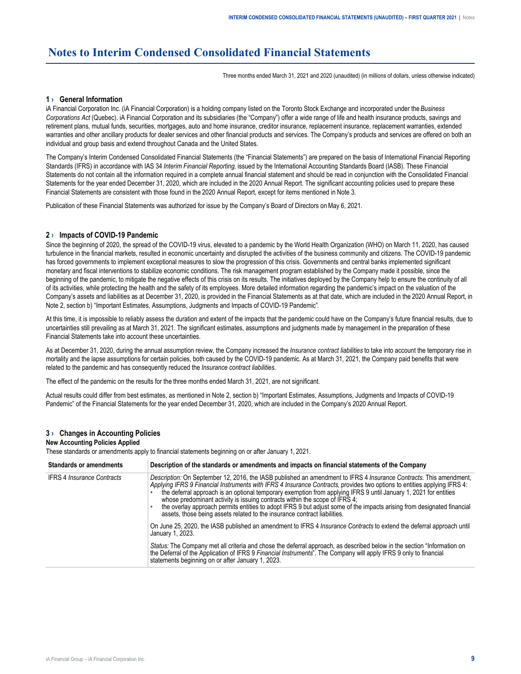# <span id="page-8-0"></span>**Notes to Interim Condensed Consolidated Financial Statements**

Three months ended March 31, 2021 and 2020 (unaudited) (in millions of dollars, unless otherwise indicated)

# **1 › General Information**

iA Financial Corporation Inc. (iA Financial Corporation) is a holding company listed on the Toronto Stock Exchange and incorporated under the *Business Corporations Act* (Quebec). iA Financial Corporation and its subsidiaries (the "Company") offer a wide range of life and health insurance products, savings and retirement plans, mutual funds, securities, mortgages, auto and home insurance, creditor insurance, replacement insurance, replacement warranties, extended warranties and other ancillary products for dealer services and other financial products and services. The Company's products and services are offered on both an individual and group basis and extend throughout Canada and the United States.

The Company's Interim Condensed Consolidated Financial Statements (the "Financial Statements") are prepared on the basis of International Financial Reporting Standards (IFRS) in accordance with IAS 34 *Interim Financial Reporting*, issued by the International Accounting Standards Board (IASB). These Financial Statements do not contain all the information required in a complete annual financial statement and should be read in conjunction with the Consolidated Financial Statements for the year ended December 31, 2020, which are included in the 2020 Annual Report. The significant accounting policies used to prepare these Financial Statements are consistent with those found in the 2020 Annual Report, except for items mentioned in Note 3.

Publication of these Financial Statements was authorized for issue by the Company's Board of Directors on May 6, 2021.

#### **2 › Impacts of COVID-19 Pandemic**

Since the beginning of 2020, the spread of the COVID-19 virus, elevated to a pandemic by the World Health Organization (WHO) on March 11, 2020, has caused turbulence in the financial markets, resulted in economic uncertainty and disrupted the activities of the business community and citizens. The COVID-19 pandemic has forced governments to implement exceptional measures to slow the progression of this crisis. Governments and central banks implemented significant monetary and fiscal interventions to stabilize economic conditions. The risk management program established by the Company made it possible, since the beginning of the pandemic, to mitigate the negative effects of this crisis on its results. The initiatives deployed by the Company help to ensure the continuity of all of its activities, while protecting the health and the safety of its employees. More detailed information regarding the pandemic's impact on the valuation of the Company's assets and liabilities as at December 31, 2020, is provided in the Financial Statements as at that date, which are included in the 2020 Annual Report, in Note 2, section b) "Important Estimates, Assumptions, Judgments and Impacts of COVID-19 Pandemic".

At this time, it is impossible to reliably assess the duration and extent of the impacts that the pandemic could have on the Company's future financial results, due to uncertainties still prevailing as at March 31, 2021. The significant estimates, assumptions and judgments made by management in the preparation of these Financial Statements take into account these uncertainties.

As at December 31, 2020, during the annual assumption review, the Company increased the *Insurance contract liabilities* to take into account the temporary rise in mortality and the lapse assumptions for certain policies, both caused by the COVID-19 pandemic. As at March 31, 2021, the Company paid benefits that were related to the pandemic and has consequently reduced the *Insurance contract liabilities*.

The effect of the pandemic on the results for the three months ended March 31, 2021, are not significant.

Actual results could differ from best estimates, as mentioned in Note 2, section b) "Important Estimates, Assumptions, Judgments and Impacts of COVID-19 Pandemic" of the Financial Statements for the year ended December 31, 2020, which are included in the Company's 2020 Annual Report.

#### **3 › Changes in Accounting Policies**

#### **New Accounting Policies Applied**

These standards or amendments apply to financial statements beginning on or after January 1, 2021.

| <b>Standards or amendments</b>    | Description of the standards or amendments and impacts on financial statements of the Company                                                                                                                                                                                                                                                                                                                                                                                                                                                                                                                                                            |
|-----------------------------------|----------------------------------------------------------------------------------------------------------------------------------------------------------------------------------------------------------------------------------------------------------------------------------------------------------------------------------------------------------------------------------------------------------------------------------------------------------------------------------------------------------------------------------------------------------------------------------------------------------------------------------------------------------|
| <b>IFRS 4 Insurance Contracts</b> | Description: On September 12, 2016, the IASB published an amendment to IFRS 4 Insurance Contracts. This amendment,<br>Applying IFRS 9 Financial Instruments with IFRS 4 Insurance Contracts, provides two options to entities applying IFRS 4:<br>the deferral approach is an optional temporary exemption from applying IFRS 9 until January 1, 2021 for entities<br>whose predominant activity is issuing contracts within the scope of IFRS 4;<br>the overlay approach permits entities to adopt IFRS 9 but adjust some of the impacts arising from designated financial<br>assets, those being assets related to the insurance contract liabilities. |
|                                   | On June 25, 2020, the IASB published an amendment to IFRS 4 <i>Insurance Contracts</i> to extend the deferral approach until<br>January 1, 2023.                                                                                                                                                                                                                                                                                                                                                                                                                                                                                                         |
|                                   | Status: The Company met all criteria and chose the deferral approach, as described below in the section "Information on<br>the Deferral of the Application of IFRS 9 Financial Instruments". The Company will apply IFRS 9 only to financial<br>statements beginning on or after January 1, 2023.                                                                                                                                                                                                                                                                                                                                                        |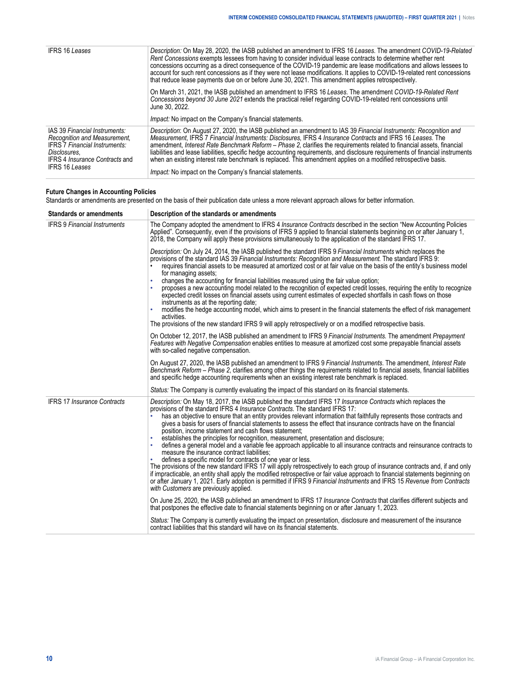| <b>IFRS 16 Leases</b>                                                                                                                                                                   | Description: On May 28, 2020, the IASB published an amendment to IFRS 16 Leases. The amendment COVID-19-Related<br>Rent Concessions exempts lessees from having to consider individual lease contracts to determine whether rent<br>concessions occurring as a direct consequence of the COVID-19 pandemic are lease modifications and allows lessees to<br>account for such rent concessions as if they were not lease modifications. It applies to COVID-19-related rent concessions<br>that reduce lease payments due on or before June 30, 2021. This amendment applies retrospectively.                                                                                       |  |  |  |  |  |  |  |
|-----------------------------------------------------------------------------------------------------------------------------------------------------------------------------------------|------------------------------------------------------------------------------------------------------------------------------------------------------------------------------------------------------------------------------------------------------------------------------------------------------------------------------------------------------------------------------------------------------------------------------------------------------------------------------------------------------------------------------------------------------------------------------------------------------------------------------------------------------------------------------------|--|--|--|--|--|--|--|
|                                                                                                                                                                                         | On March 31, 2021, the IASB published an amendment to IFRS 16 Leases. The amendment COVID-19-Related Rent<br>Concessions beyond 30 June 2021 extends the practical relief regarding COVID-19-related rent concessions until<br>June 30, 2022.<br><i>Impact:</i> No impact on the Company's financial statements.                                                                                                                                                                                                                                                                                                                                                                   |  |  |  |  |  |  |  |
| IAS 39 Financial Instruments:<br>Recognition and Measurement,<br><b>IFRS 7 Financial Instruments:</b><br>Disclosures.<br><b>IFRS 4 Insurance Contracts and</b><br><b>IFRS 16 Leases</b> | Description: On August 27, 2020, the IASB published an amendment to IAS 39 Financial Instruments: Recognition and<br>Measurement. IFRS 7 Financial Instruments: Disclosures. IFRS 4 Insurance Contracts and IFRS 16 Leases. The<br>amendment. Interest Rate Benchmark Reform – Phase 2. clarifies the requirements related to financial assets, financial<br>liabilities and lease liabilities, specific hedge accounting requirements, and disclosure requirements of financial instruments<br>when an existing interest rate benchmark is replaced. This amendment applies on a modified retrospective basis.<br><i>Impact:</i> No impact on the Company's financial statements. |  |  |  |  |  |  |  |

# **Future Changes in Accounting Policies**

Standards or amendments are presented on the basis of their publication date unless a more relevant approach allows for better information.

| <b>Standards or amendments</b>      | Description of the standards or amendments                                                                                                                                                                                                                                                                                                                                                                                                                                                                                                                                                                                                                                                                                                                                                                                                                                                                                                                                                                                                                                                                                                                                                                                                                                            |  |  |  |  |  |  |  |
|-------------------------------------|---------------------------------------------------------------------------------------------------------------------------------------------------------------------------------------------------------------------------------------------------------------------------------------------------------------------------------------------------------------------------------------------------------------------------------------------------------------------------------------------------------------------------------------------------------------------------------------------------------------------------------------------------------------------------------------------------------------------------------------------------------------------------------------------------------------------------------------------------------------------------------------------------------------------------------------------------------------------------------------------------------------------------------------------------------------------------------------------------------------------------------------------------------------------------------------------------------------------------------------------------------------------------------------|--|--|--|--|--|--|--|
| <b>IFRS 9 Financial Instruments</b> | The Company adopted the amendment to IFRS 4 Insurance Contracts described in the section "New Accounting Policies<br>Applied". Consequently, even if the provisions of IFRS 9 applied to financial statements beginning on or after January 1,<br>2018, the Company will apply these provisions simultaneously to the application of the standard IFRS 17.                                                                                                                                                                                                                                                                                                                                                                                                                                                                                                                                                                                                                                                                                                                                                                                                                                                                                                                            |  |  |  |  |  |  |  |
|                                     | Description: On July 24, 2014, the IASB published the standard IFRS 9 Financial Instruments which replaces the<br>provisions of the standard IAS 39 Financial Instruments: Recognition and Measurement. The standard IFRS 9:<br>requires financial assets to be measured at amortized cost or at fair value on the basis of the entity's business model<br>for managing assets;<br>changes the accounting for financial liabilities measured using the fair value option;<br>proposes a new accounting model related to the recognition of expected credit losses, requiring the entity to recognize<br>expected credit losses on financial assets using current estimates of expected shortfalls in cash flows on those<br>instruments as at the reporting date;<br>modifies the hedge accounting model, which aims to present in the financial statements the effect of risk management<br>activities.<br>The provisions of the new standard IFRS 9 will apply retrospectively or on a modified retrospective basis.                                                                                                                                                                                                                                                                |  |  |  |  |  |  |  |
|                                     | On October 12, 2017, the IASB published an amendment to IFRS 9 Financial Instruments. The amendment Prepayment<br>Features with Negative Compensation enables entities to measure at amortized cost some prepayable financial assets<br>with so-called negative compensation.                                                                                                                                                                                                                                                                                                                                                                                                                                                                                                                                                                                                                                                                                                                                                                                                                                                                                                                                                                                                         |  |  |  |  |  |  |  |
|                                     | On August 27, 2020, the IASB published an amendment to IFRS 9 Financial Instruments. The amendment, Interest Rate<br>Benchmark Reform - Phase 2, clarifies among other things the requirements related to financial assets, financial liabilities<br>and specific hedge accounting requirements when an existing interest rate benchmark is replaced.                                                                                                                                                                                                                                                                                                                                                                                                                                                                                                                                                                                                                                                                                                                                                                                                                                                                                                                                 |  |  |  |  |  |  |  |
|                                     | Status: The Company is currently evaluating the impact of this standard on its financial statements.                                                                                                                                                                                                                                                                                                                                                                                                                                                                                                                                                                                                                                                                                                                                                                                                                                                                                                                                                                                                                                                                                                                                                                                  |  |  |  |  |  |  |  |
| <b>IFRS 17 Insurance Contracts</b>  | Description: On May 18, 2017, the IASB published the standard IFRS 17 Insurance Contracts which replaces the<br>provisions of the standard IFRS 4 <i>Insurance Contracts</i> . The standard IFRS 17:<br>has an objective to ensure that an entity provides relevant information that faithfully represents those contracts and<br>gives a basis for users of financial statements to assess the effect that insurance contracts have on the financial<br>position, income statement and cash flows statement;<br>establishes the principles for recognition, measurement, presentation and disclosure;<br>defines a general model and a variable fee approach applicable to all insurance contracts and reinsurance contracts to<br>measure the insurance contract liabilities;<br>defines a specific model for contracts of one year or less.<br>The provisions of the new standard IFRS 17 will apply retrospectively to each group of insurance contracts and, if and only<br>if impracticable, an entity shall apply the modified retrospective or fair value approach to financial statements beginning on<br>or after January 1, 2021. Early adoption is permitted if IFRS 9 Financial Instruments and IFRS 15 Revenue from Contracts<br>with Customers are previously applied. |  |  |  |  |  |  |  |
|                                     | On June 25, 2020, the IASB published an amendment to IFRS 17 <i>Insurance Contracts</i> that clarifies different subjects and<br>that postpones the effective date to financial statements beginning on or after January 1, 2023.                                                                                                                                                                                                                                                                                                                                                                                                                                                                                                                                                                                                                                                                                                                                                                                                                                                                                                                                                                                                                                                     |  |  |  |  |  |  |  |
|                                     | Status: The Company is currently evaluating the impact on presentation, disclosure and measurement of the insurance<br>contract liabilities that this standard will have on its financial statements.                                                                                                                                                                                                                                                                                                                                                                                                                                                                                                                                                                                                                                                                                                                                                                                                                                                                                                                                                                                                                                                                                 |  |  |  |  |  |  |  |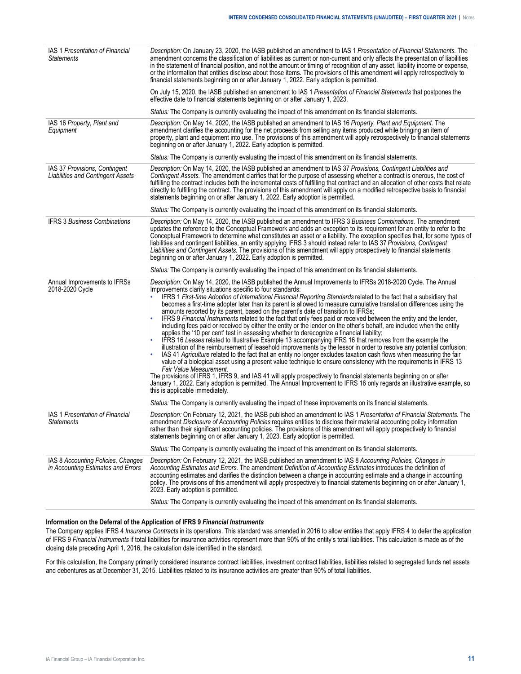| IAS 1 Presentation of Financial<br><b>Statements</b>                      | Description: On January 23, 2020, the IASB published an amendment to IAS 1 Presentation of Financial Statements. The<br>amendment concerns the classification of liabilities as current or non-current and only affects the presentation of liabilities<br>in the statement of financial position, and not the amount or timing of recognition of any asset, liability income or expense,<br>or the information that entities disclose about those items. The provisions of this amendment will apply retrospectively to<br>financial statements beginning on or after January 1, 2022. Early adoption is permitted.<br>On July 15, 2020, the IASB published an amendment to IAS 1 Presentation of Financial Statements that postpones the                                                                                                                                                                                                                                                                                                                                                              |
|---------------------------------------------------------------------------|---------------------------------------------------------------------------------------------------------------------------------------------------------------------------------------------------------------------------------------------------------------------------------------------------------------------------------------------------------------------------------------------------------------------------------------------------------------------------------------------------------------------------------------------------------------------------------------------------------------------------------------------------------------------------------------------------------------------------------------------------------------------------------------------------------------------------------------------------------------------------------------------------------------------------------------------------------------------------------------------------------------------------------------------------------------------------------------------------------|
|                                                                           | effective date to financial statements beginning on or after January 1, 2023.                                                                                                                                                                                                                                                                                                                                                                                                                                                                                                                                                                                                                                                                                                                                                                                                                                                                                                                                                                                                                           |
|                                                                           | Status: The Company is currently evaluating the impact of this amendment on its financial statements.                                                                                                                                                                                                                                                                                                                                                                                                                                                                                                                                                                                                                                                                                                                                                                                                                                                                                                                                                                                                   |
| IAS 16 Property, Plant and<br>Equipment                                   | Description: On May 14, 2020, the IASB published an amendment to IAS 16 Property, Plant and Equipment. The<br>amendment clarifies the accounting for the net proceeds from selling any items produced while bringing an item of<br>property, plant and equipment into use. The provisions of this amendment will apply retrospectively to financial statements<br>beginning on or after January 1, 2022. Early adoption is permitted.                                                                                                                                                                                                                                                                                                                                                                                                                                                                                                                                                                                                                                                                   |
|                                                                           | Status: The Company is currently evaluating the impact of this amendment on its financial statements.                                                                                                                                                                                                                                                                                                                                                                                                                                                                                                                                                                                                                                                                                                                                                                                                                                                                                                                                                                                                   |
| IAS 37 Provisions, Contingent<br><b>Liabilities and Contingent Assets</b> | Description: On May 14, 2020, the IASB published an amendment to IAS 37 Provisions, Contingent Liabilities and<br>Contingent Assets. The amendment clarifies that for the purpose of assessing whether a contract is onerous, the cost of<br>fulfilling the contract includes both the incremental costs of fulfilling that contract and an allocation of other costs that relate<br>directly to fulfilling the contract. The provisions of this amendment will apply on a modified retrospective basis to financial<br>statements beginning on or after January 1, 2022. Early adoption is permitted.                                                                                                                                                                                                                                                                                                                                                                                                                                                                                                  |
|                                                                           | Status: The Company is currently evaluating the impact of this amendment on its financial statements.                                                                                                                                                                                                                                                                                                                                                                                                                                                                                                                                                                                                                                                                                                                                                                                                                                                                                                                                                                                                   |
| <b>IFRS 3 Business Combinations</b>                                       | Description: On May 14, 2020, the IASB published an amendment to IFRS 3 Business Combinations. The amendment<br>updates the reference to the Conceptual Framework and adds an exception to its requirement for an entity to refer to the<br>Conceptual Framework to determine what constitutes an asset or a liability. The exception specifies that, for some types of<br>liabilities and contingent liabilities, an entity applying IFRS 3 should instead refer to IAS 37 Provisions, Contingent<br>Liabilities and Contingent Assets. The provisions of this amendment will apply prospectively to financial statements<br>beginning on or after January 1, 2022. Early adoption is permitted.                                                                                                                                                                                                                                                                                                                                                                                                       |
|                                                                           | Status: The Company is currently evaluating the impact of this amendment on its financial statements.                                                                                                                                                                                                                                                                                                                                                                                                                                                                                                                                                                                                                                                                                                                                                                                                                                                                                                                                                                                                   |
| Annual Improvements to IFRSs<br>2018-2020 Cycle                           | Description: On May 14, 2020, the IASB published the Annual Improvements to IFRSs 2018-2020 Cycle. The Annual<br>Improvements clarify situations specific to four standards:<br>IFRS 1 First-time Adoption of International Financial Reporting Standards related to the fact that a subsidiary that<br>becomes a first-time adopter later than its parent is allowed to measure cumulative translation differences using the<br>amounts reported by its parent, based on the parent's date of transition to IFRSs;<br>IFRS 9 Financial Instruments related to the fact that only fees paid or received between the entity and the lender,<br>including fees paid or received by either the entity or the lender on the other's behalf, are included when the entity<br>applies the '10 per cent' test in assessing whether to derecognize a financial liability;<br>IFRS 16 Leases related to Illustrative Example 13 accompanying IFRS 16 that removes from the example the<br>illustration of the reimbursement of leasehold improvements by the lessor in order to resolve any potential confusion; |
|                                                                           | IAS 41 Agriculture related to the fact that an entity no longer excludes taxation cash flows when measuring the fair<br>value of a biological asset using a present value technique to ensure consistency with the requirements in IFRS 13<br>Fair Value Measurement.<br>The provisions of IFRS 1, IFRS 9, and IAS 41 will apply prospectively to financial statements beginning on or after<br>January 1, 2022. Early adoption is permitted. The Annual Improvement to IFRS 16 only regards an illustrative example, so<br>this is applicable immediately.                                                                                                                                                                                                                                                                                                                                                                                                                                                                                                                                             |
|                                                                           | Status: The Company is currently evaluating the impact of these improvements on its financial statements.                                                                                                                                                                                                                                                                                                                                                                                                                                                                                                                                                                                                                                                                                                                                                                                                                                                                                                                                                                                               |
| IAS 1 Presentation of Financial<br><b>Statements</b>                      | Description: On February 12, 2021, the IASB published an amendment to IAS 1 Presentation of Financial Statements. The<br>amendment Disclosure of Accounting Policies requires entities to disclose their material accounting policy information<br>rather than their significant accounting policies. The provisions of this amendment will apply prospectively to financial<br>statements beginning on or after January 1, 2023. Early adoption is permitted.                                                                                                                                                                                                                                                                                                                                                                                                                                                                                                                                                                                                                                          |
|                                                                           | Status: The Company is currently evaluating the impact of this amendment on its financial statements.                                                                                                                                                                                                                                                                                                                                                                                                                                                                                                                                                                                                                                                                                                                                                                                                                                                                                                                                                                                                   |
| IAS 8 Accounting Policies, Changes<br>in Accounting Estimates and Errors  | Description: On February 12, 2021, the IASB published an amendment to IAS 8 Accounting Policies, Changes in<br>Accounting Estimates and Errors. The amendment Definition of Accounting Estimates introduces the definition of<br>accounting estimates and clarifies the distinction between a change in accounting estimate and a change in accounting<br>policy. The provisions of this amendment will apply prospectively to financial statements beginning on or after January 1,<br>2023. Early adoption is permitted.<br>Status: The Company is currently evaluating the impact of this amendment on its financial statements.                                                                                                                                                                                                                                                                                                                                                                                                                                                                     |

# **Information on the Deferral of the Application of IFRS 9** *Financial Instruments*

The Company applies IFRS 4 *Insurance Contracts* in its operations. This standard was amended in 2016 to allow entities that apply IFRS 4 to defer the application of IFRS 9 *Financial Instruments* if total liabilities for insurance activities represent more than 90% of the entity's total liabilities. This calculation is made as of the closing date preceding April 1, 2016, the calculation date identified in the standard.

For this calculation, the Company primarily considered insurance contract liabilities, investment contract liabilities, liabilities related to segregated funds net assets and debentures as at December 31, 2015. Liabilities related to its insurance activities are greater than 90% of total liabilities.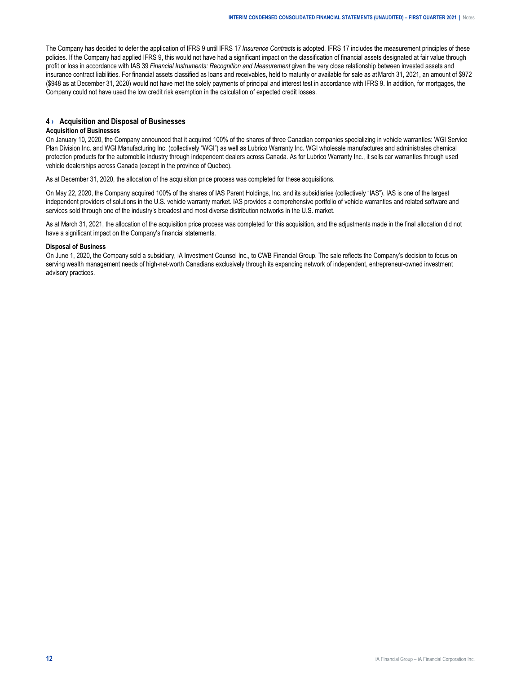<span id="page-11-0"></span>The Company has decided to defer the application of IFRS 9 until IFRS 17 *Insurance Contracts* is adopted. IFRS 17 includes the measurement principles of these policies. If the Company had applied IFRS 9, this would not have had a significant impact on the classification of financial assets designated at fair value through profit or loss in accordance with IAS 39 *Financial Instruments: Recognition and Measurement* given the very close relationship between invested assets and insurance contract liabilities. For financial assets classified as loans and receivables, held to maturity or available for sale as at March 31, 2021, an amount of \$972 (\$948 as at December 31, 2020) would not have met the solely payments of principal and interest test in accordance with IFRS 9. In addition, for mortgages, the Company could not have used the low credit risk exemption in the calculation of expected credit losses.

# **4 › Acquisition and Disposal of Businesses**

# **Acquisition of Businesses**

On January 10, 2020, the Company announced that it acquired 100% of the shares of three Canadian companies specializing in vehicle warranties: WGI Service Plan Division Inc. and WGI Manufacturing Inc. (collectively "WGI") as well as Lubrico Warranty Inc. WGI wholesale manufactures and administrates chemical protection products for the automobile industry through independent dealers across Canada. As for Lubrico Warranty Inc., it sells car warranties through used vehicle dealerships across Canada (except in the province of Quebec).

As at December 31, 2020, the allocation of the acquisition price process was completed for these acquisitions.

On May 22, 2020, the Company acquired 100% of the shares of IAS Parent Holdings, Inc. and its subsidiaries (collectively "IAS"). IAS is one of the largest independent providers of solutions in the U.S. vehicle warranty market. IAS provides a comprehensive portfolio of vehicle warranties and related software and services sold through one of the industry's broadest and most diverse distribution networks in the U.S. market.

As at March 31, 2021, the allocation of the acquisition price process was completed for this acquisition, and the adjustments made in the final allocation did not have a significant impact on the Company's financial statements.

## **Disposal of Business**

On June 1, 2020, the Company sold a subsidiary, iA Investment Counsel Inc., to CWB Financial Group. The sale reflects the Company's decision to focus on serving wealth management needs of high-net-worth Canadians exclusively through its expanding network of independent, entrepreneur-owned investment advisory practices.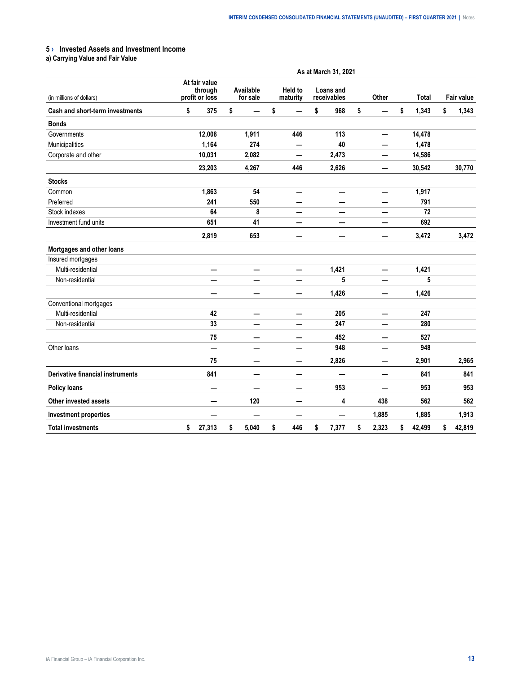# <span id="page-12-0"></span>**5 › Invested Assets and Investment Income**

**a) Carrying Value and Fair Value**

|                                         | As at March 31, 2021                       |        |                       |       |                            |     |    |                          |    |       |    |              |    |                   |
|-----------------------------------------|--------------------------------------------|--------|-----------------------|-------|----------------------------|-----|----|--------------------------|----|-------|----|--------------|----|-------------------|
| (in millions of dollars)                | At fair value<br>through<br>profit or loss |        | Available<br>for sale |       | <b>Held to</b><br>maturity |     |    | Loans and<br>receivables |    | Other |    | <b>Total</b> |    | <b>Fair value</b> |
| Cash and short-term investments         | \$                                         | 375    | \$                    |       | \$                         |     | \$ | 968                      | \$ |       | \$ | 1,343        | \$ | 1,343             |
| <b>Bonds</b>                            |                                            |        |                       |       |                            |     |    |                          |    |       |    |              |    |                   |
| Governments                             |                                            | 12,008 |                       | 1,911 |                            | 446 |    | 113                      |    |       |    | 14,478       |    |                   |
| Municipalities                          |                                            | 1,164  |                       | 274   |                            | —   |    | 40                       |    |       |    | 1,478        |    |                   |
| Corporate and other                     |                                            | 10,031 |                       | 2,082 |                            | —   |    | 2,473                    |    |       |    | 14,586       |    |                   |
|                                         |                                            | 23,203 |                       | 4,267 |                            | 446 |    | 2,626                    |    | —     |    | 30,542       |    | 30,770            |
| <b>Stocks</b>                           |                                            |        |                       |       |                            |     |    |                          |    |       |    |              |    |                   |
| Common                                  |                                            | 1,863  |                       | 54    |                            | —   |    | $\overline{\phantom{0}}$ |    | —     |    | 1,917        |    |                   |
| Preferred                               |                                            | 241    |                       | 550   |                            |     |    |                          |    |       |    | 791          |    |                   |
| Stock indexes                           |                                            | 64     |                       | 8     |                            |     |    | —                        |    |       |    | 72           |    |                   |
| Investment fund units                   |                                            | 651    |                       | 41    |                            | —   |    |                          |    |       |    | 692          |    |                   |
|                                         |                                            | 2,819  |                       | 653   |                            | -   |    | —                        |    |       |    | 3,472        |    | 3,472             |
| Mortgages and other loans               |                                            |        |                       |       |                            |     |    |                          |    |       |    |              |    |                   |
| Insured mortgages                       |                                            |        |                       |       |                            |     |    |                          |    |       |    |              |    |                   |
| Multi-residential                       |                                            | —      |                       | —     |                            | —   |    | 1,421                    |    | —     |    | 1,421        |    |                   |
| Non-residential                         |                                            |        |                       |       |                            |     |    | 5                        |    |       |    | 5            |    |                   |
|                                         |                                            |        |                       | -     |                            |     |    | 1,426                    |    |       |    | 1,426        |    |                   |
| Conventional mortgages                  |                                            |        |                       |       |                            |     |    |                          |    |       |    |              |    |                   |
| Multi-residential                       |                                            | 42     |                       | —     |                            | —   |    | 205                      |    | —     |    | 247          |    |                   |
| Non-residential                         |                                            | 33     |                       |       |                            |     |    | 247                      |    |       |    | 280          |    |                   |
|                                         |                                            | 75     |                       | —     |                            | –   |    | 452                      |    |       |    | 527          |    |                   |
| Other loans                             |                                            | —      |                       | —     |                            |     |    | 948                      |    |       |    | 948          |    |                   |
|                                         |                                            | 75     |                       | —     |                            | —   |    | 2,826                    |    | —     |    | 2,901        |    | 2,965             |
| <b>Derivative financial instruments</b> |                                            | 841    |                       | —     |                            | —   |    |                          |    |       |    | 841          |    | 841               |
| <b>Policy loans</b>                     |                                            |        |                       | —     |                            | –   |    | 953                      |    |       |    | 953          |    | 953               |
| Other invested assets                   |                                            |        |                       | 120   |                            |     |    | 4                        |    | 438   |    | 562          |    | 562               |
| <b>Investment properties</b>            |                                            |        |                       | —     |                            | -   |    |                          |    | 1,885 |    | 1,885        |    | 1,913             |
| <b>Total investments</b>                | \$                                         | 27,313 | \$                    | 5,040 | \$                         | 446 | \$ | 7,377                    | \$ | 2,323 | \$ | 42,499       | \$ | 42,819            |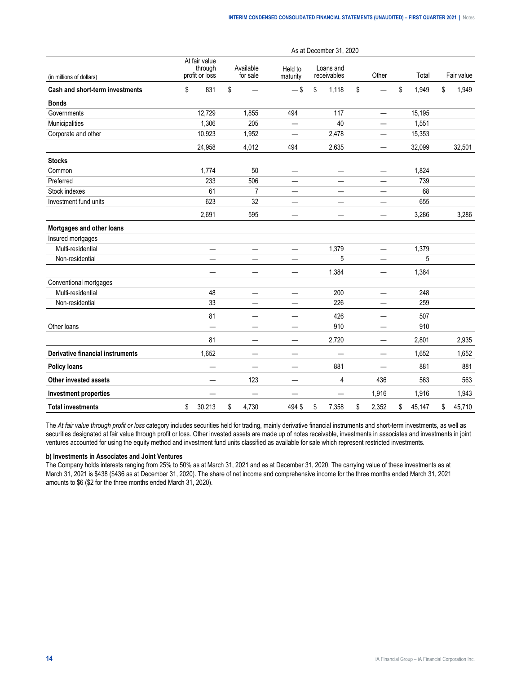|                                         |                                            |                          |                       |                          |                          | As at December 31, 2020  |                                |    |        |              |
|-----------------------------------------|--------------------------------------------|--------------------------|-----------------------|--------------------------|--------------------------|--------------------------|--------------------------------|----|--------|--------------|
| (in millions of dollars)                | At fair value<br>through<br>profit or loss |                          | Available<br>for sale |                          | Held to<br>maturity      | Loans and<br>receivables | Other                          |    | Total  | Fair value   |
| Cash and short-term investments         | \$                                         | 831                      | \$                    | -                        | $-$ \$                   | \$<br>1,118              | \$<br>$\qquad \qquad$          | \$ | 1,949  | \$<br>1,949  |
| <b>Bonds</b>                            |                                            |                          |                       |                          |                          |                          |                                |    |        |              |
| Governments                             |                                            | 12,729                   |                       | 1,855                    | 494                      | 117                      |                                |    | 15,195 |              |
| Municipalities                          |                                            | 1,306                    |                       | 205                      | $\overline{\phantom{0}}$ | 40                       | $\overline{\phantom{0}}$       |    | 1,551  |              |
| Corporate and other                     |                                            | 10,923                   |                       | 1,952                    | $\overline{\phantom{0}}$ | 2,478                    | $\qquad \qquad -$              |    | 15,353 |              |
|                                         |                                            | 24,958                   |                       | 4,012                    | 494                      | 2,635                    |                                |    | 32,099 | 32,501       |
| <b>Stocks</b>                           |                                            |                          |                       |                          |                          |                          |                                |    |        |              |
| Common                                  |                                            | 1,774                    |                       | 50                       |                          |                          |                                |    | 1,824  |              |
| Preferred                               |                                            | 233                      |                       | 506                      |                          |                          | $\overline{\phantom{0}}$       |    | 739    |              |
| Stock indexes                           |                                            | 61                       |                       | $\overline{7}$           | —                        | —                        |                                |    | 68     |              |
| Investment fund units                   |                                            | 623                      |                       | 32                       |                          |                          |                                |    | 655    |              |
|                                         |                                            | 2,691                    |                       | 595                      |                          |                          | $\overline{\phantom{0}}$       |    | 3,286  | 3,286        |
| Mortgages and other loans               |                                            |                          |                       |                          |                          |                          |                                |    |        |              |
| Insured mortgages                       |                                            |                          |                       |                          |                          |                          |                                |    |        |              |
| Multi-residential                       |                                            | $\overline{\phantom{0}}$ |                       | —                        | —                        | 1,379                    | —                              |    | 1,379  |              |
| Non-residential                         |                                            |                          |                       |                          |                          | 5                        |                                |    | 5      |              |
|                                         |                                            |                          |                       | —                        | $\overline{\phantom{0}}$ | 1,384                    |                                |    | 1,384  |              |
| Conventional mortgages                  |                                            |                          |                       |                          |                          |                          |                                |    |        |              |
| Multi-residential                       |                                            | 48                       |                       | $\overline{\phantom{0}}$ | $\overline{\phantom{0}}$ | 200                      | $\overline{\phantom{0}}$       |    | 248    |              |
| Non-residential                         |                                            | 33                       |                       |                          |                          | 226                      |                                |    | 259    |              |
|                                         |                                            | 81                       |                       | —                        | $\overline{\phantom{0}}$ | 426                      | -                              |    | 507    |              |
| Other loans                             |                                            |                          |                       |                          |                          | 910                      |                                |    | 910    |              |
|                                         |                                            | 81                       |                       |                          | —                        | 2,720                    | $\qquad \qquad \longleftarrow$ |    | 2,801  | 2,935        |
| <b>Derivative financial instruments</b> |                                            | 1,652                    |                       |                          | —                        | —                        | $\overline{\phantom{0}}$       |    | 1,652  | 1,652        |
| <b>Policy loans</b>                     |                                            |                          |                       |                          |                          | 881                      | ÷.                             |    | 881    | 881          |
| Other invested assets                   |                                            |                          |                       | 123                      | —                        | 4                        | 436                            |    | 563    | 563          |
| <b>Investment properties</b>            |                                            |                          |                       |                          |                          |                          | 1,916                          |    | 1,916  | 1,943        |
| <b>Total investments</b>                | \$                                         | 30,213                   | \$                    | 4,730                    | 494 \$                   | \$<br>7,358              | \$<br>2,352                    | \$ | 45,147 | \$<br>45,710 |

The *At fair value through profit or loss* category includes securities held for trading, mainly derivative financial instruments and short-term investments, as well as securities designated at fair value through profit or loss. Other invested assets are made up of notes receivable, investments in associates and investments in joint ventures accounted for using the equity method and investment fund units classified as available for sale which represent restricted investments.

#### **b) Investments in Associates and Joint Ventures**

The Company holds interests ranging from 25% to 50% as at March 31, 2021 and as at December 31, 2020. The carrying value of these investments as at March 31, 2021 is \$438 (\$436 as at December 31, 2020). The share of net income and comprehensive income for the three months ended March 31, 2021 amounts to \$6 (\$2 for the three months ended March 31, 2020).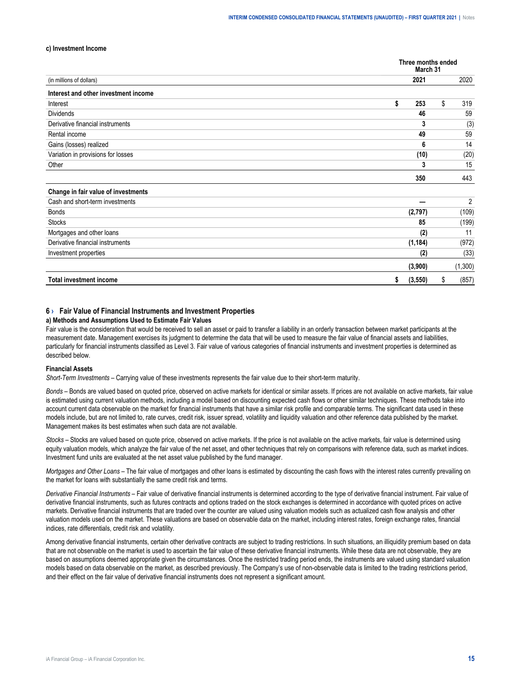#### <span id="page-14-0"></span>**c) Investment Income**

|                                      | Three months ended<br>March 31 |    |         |
|--------------------------------------|--------------------------------|----|---------|
| (in millions of dollars)             | 2021                           |    | 2020    |
| Interest and other investment income |                                |    |         |
| Interest                             | \$<br>253                      | \$ | 319     |
| <b>Dividends</b>                     | 46                             |    | 59      |
| Derivative financial instruments     | 3                              |    | (3)     |
| Rental income                        | 49                             |    | 59      |
| Gains (losses) realized              | 6                              |    | 14      |
| Variation in provisions for losses   | (10)                           |    | (20)    |
| Other                                | 3                              |    | 15      |
|                                      | 350                            |    | 443     |
| Change in fair value of investments  |                                |    |         |
| Cash and short-term investments      |                                |    | 2       |
| <b>Bonds</b>                         | (2,797)                        |    | (109)   |
| <b>Stocks</b>                        | 85                             |    | (199)   |
| Mortgages and other loans            | (2)                            |    | 11      |
| Derivative financial instruments     | (1, 184)                       |    | (972)   |
| Investment properties                | (2)                            |    | (33)    |
|                                      | (3,900)                        |    | (1,300) |
| <b>Total investment income</b>       | \$<br>(3, 550)                 | S  | (857)   |

## **6 › Fair Value of Financial Instruments and Investment Properties**

#### **a) Methods and Assumptions Used to Estimate Fair Values**

Fair value is the consideration that would be received to sell an asset or paid to transfer a liability in an orderly transaction between market participants at the measurement date. Management exercises its judgment to determine the data that will be used to measure the fair value of financial assets and liabilities, particularly for financial instruments classified as Level 3. Fair value of various categories of financial instruments and investment properties is determined as described below.

#### **Financial Assets**

*Short-Term Investments –* Carrying value of these investments represents the fair value due to their short-term maturity.

*Bonds –* Bonds are valued based on quoted price, observed on active markets for identical or similar assets. If prices are not available on active markets, fair value is estimated using current valuation methods, including a model based on discounting expected cash flows or other similar techniques. These methods take into account current data observable on the market for financial instruments that have a similar risk profile and comparable terms. The significant data used in these models include, but are not limited to, rate curves, credit risk, issuer spread, volatility and liquidity valuation and other reference data published by the market. Management makes its best estimates when such data are not available.

*Stocks –* Stocks are valued based on quote price, observed on active markets. If the price is not available on the active markets, fair value is determined using equity valuation models, which analyze the fair value of the net asset, and other techniques that rely on comparisons with reference data, such as market indices. Investment fund units are evaluated at the net asset value published by the fund manager.

*Mortgages and Other Loans –* The fair value of mortgages and other loans is estimated by discounting the cash flows with the interest rates currently prevailing on the market for loans with substantially the same credit risk and terms.

*Derivative Financial Instruments* – Fair value of derivative financial instruments is determined according to the type of derivative financial instrument. Fair value of derivative financial instruments, such as futures contracts and options traded on the stock exchanges is determined in accordance with quoted prices on active markets. Derivative financial instruments that are traded over the counter are valued using valuation models such as actualized cash flow analysis and other valuation models used on the market. These valuations are based on observable data on the market, including interest rates, foreign exchange rates, financial indices, rate differentials, credit risk and volatility.

Among derivative financial instruments, certain other derivative contracts are subject to trading restrictions. In such situations, an illiquidity premium based on data that are not observable on the market is used to ascertain the fair value of these derivative financial instruments. While these data are not observable, they are based on assumptions deemed appropriate given the circumstances. Once the restricted trading period ends, the instruments are valued using standard valuation models based on data observable on the market, as described previously. The Company's use of non-observable data is limited to the trading restrictions period, and their effect on the fair value of derivative financial instruments does not represent a significant amount.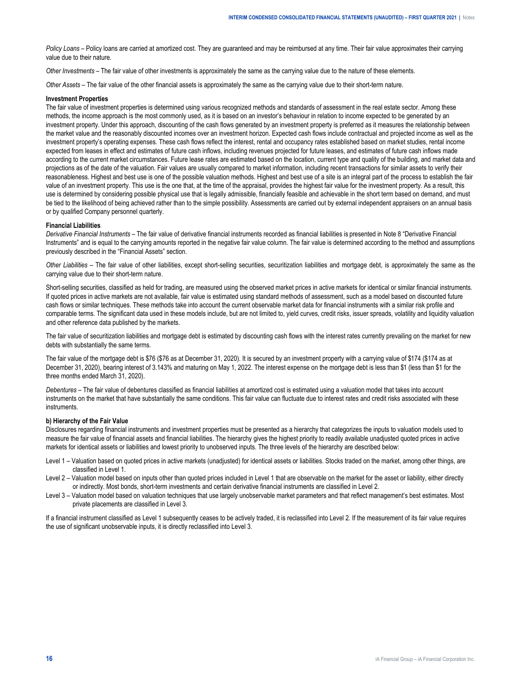*Policy Loans* – Policy loans are carried at amortized cost. They are guaranteed and may be reimbursed at any time. Their fair value approximates their carrying value due to their nature.

*Other Investments –* The fair value of other investments is approximately the same as the carrying value due to the nature of these elements.

*Other Assets –* The fair value of the other financial assets is approximately the same as the carrying value due to their short-term nature.

#### **Investment Properties**

The fair value of investment properties is determined using various recognized methods and standards of assessment in the real estate sector. Among these methods, the income approach is the most commonly used, as it is based on an investor's behaviour in relation to income expected to be generated by an investment property. Under this approach, discounting of the cash flows generated by an investment property is preferred as it measures the relationship between the market value and the reasonably discounted incomes over an investment horizon. Expected cash flows include contractual and projected income as well as the investment property's operating expenses. These cash flows reflect the interest, rental and occupancy rates established based on market studies, rental income expected from leases in effect and estimates of future cash inflows, including revenues projected for future leases, and estimates of future cash inflows made according to the current market circumstances. Future lease rates are estimated based on the location, current type and quality of the building, and market data and projections as of the date of the valuation. Fair values are usually compared to market information, including recent transactions for similar assets to verify their reasonableness. Highest and best use is one of the possible valuation methods. Highest and best use of a site is an integral part of the process to establish the fair value of an investment property. This use is the one that, at the time of the appraisal, provides the highest fair value for the investment property. As a result, this use is determined by considering possible physical use that is legally admissible, financially feasible and achievable in the short term based on demand, and must be tied to the likelihood of being achieved rather than to the simple possibility. Assessments are carried out by external independent appraisers on an annual basis or by qualified Company personnel quarterly.

#### **Financial Liabilities**

*Derivative Financial Instruments –* The fair value of derivative financial instruments recorded as financial liabilities is presented in Note 8 "Derivative Financial Instruments" and is equal to the carrying amounts reported in the negative fair value column. The fair value is determined according to the method and assumptions previously described in the "Financial Assets" section.

*Other Liabilities –* The fair value of other liabilities, except short-selling securities, securitization liabilities and mortgage debt, is approximately the same as the carrying value due to their short-term nature.

Short-selling securities, classified as held for trading, are measured using the observed market prices in active markets for identical or similar financial instruments. If quoted prices in active markets are not available, fair value is estimated using standard methods of assessment, such as a model based on discounted future cash flows or similar techniques. These methods take into account the current observable market data for financial instruments with a similar risk profile and comparable terms. The significant data used in these models include, but are not limited to, yield curves, credit risks, issuer spreads, volatility and liquidity valuation and other reference data published by the markets.

The fair value of securitization liabilities and mortgage debt is estimated by discounting cash flows with the interest rates currently prevailing on the market for new debts with substantially the same terms.

The fair value of the mortgage debt is \$76 (\$76 as at December 31, 2020). It is secured by an investment property with a carrying value of \$174 (\$174 as at December 31, 2020), bearing interest of 3.143% and maturing on May 1, 2022. The interest expense on the mortgage debt is less than \$1 (less than \$1 for the three months ended March 31, 2020).

*Debentures –* The fair value of debentures classified as financial liabilities at amortized cost is estimated using a valuation model that takes into account instruments on the market that have substantially the same conditions. This fair value can fluctuate due to interest rates and credit risks associated with these instruments.

#### **b) Hierarchy of the Fair Value**

Disclosures regarding financial instruments and investment properties must be presented as a hierarchy that categorizes the inputs to valuation models used to measure the fair value of financial assets and financial liabilities. The hierarchy gives the highest priority to readily available unadjusted quoted prices in active markets for identical assets or liabilities and lowest priority to unobserved inputs. The three levels of the hierarchy are described below:

- Level 1 Valuation based on quoted prices in active markets (unadjusted) for identical assets or liabilities. Stocks traded on the market, among other things, are classified in Level 1.
- Level 2 Valuation model based on inputs other than quoted prices included in Level 1 that are observable on the market for the asset or liability, either directly or indirectly. Most bonds, short-term investments and certain derivative financial instruments are classified in Level 2.
- Level 3 Valuation model based on valuation techniques that use largely unobservable market parameters and that reflect management's best estimates. Most private placements are classified in Level 3.

If a financial instrument classified as Level 1 subsequently ceases to be actively traded, it is reclassified into Level 2. If the measurement of its fair value requires the use of significant unobservable inputs, it is directly reclassified into Level 3.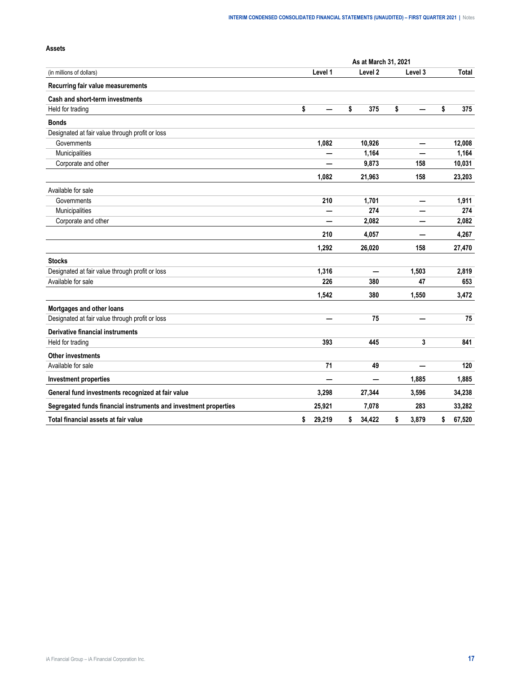|                                                                  | As at March 31, 2021 |         |    |                    |    |                          |    |        |  |  |
|------------------------------------------------------------------|----------------------|---------|----|--------------------|----|--------------------------|----|--------|--|--|
| (in millions of dollars)                                         |                      | Level 1 |    | Level <sub>2</sub> |    | Level 3                  |    | Total  |  |  |
| Recurring fair value measurements                                |                      |         |    |                    |    |                          |    |        |  |  |
| Cash and short-term investments                                  |                      |         |    |                    |    |                          |    |        |  |  |
| Held for trading                                                 | \$                   |         | \$ | 375                | \$ |                          | \$ | 375    |  |  |
| <b>Bonds</b>                                                     |                      |         |    |                    |    |                          |    |        |  |  |
| Designated at fair value through profit or loss                  |                      |         |    |                    |    |                          |    |        |  |  |
| Governments                                                      |                      | 1,082   |    | 10,926             |    |                          |    | 12,008 |  |  |
| Municipalities                                                   |                      |         |    | 1,164              |    |                          |    | 1,164  |  |  |
| Corporate and other                                              |                      |         |    | 9,873              |    | 158                      |    | 10,031 |  |  |
|                                                                  |                      | 1,082   |    | 21,963             |    | 158                      |    | 23,203 |  |  |
| Available for sale                                               |                      |         |    |                    |    |                          |    |        |  |  |
| Governments                                                      |                      | 210     |    | 1,701              |    |                          |    | 1,911  |  |  |
| Municipalities                                                   |                      |         |    | 274                |    |                          |    | 274    |  |  |
| Corporate and other                                              |                      |         |    | 2,082              |    |                          |    | 2,082  |  |  |
|                                                                  |                      | 210     |    | 4,057              |    |                          |    | 4,267  |  |  |
|                                                                  |                      | 1,292   |    | 26,020             |    | 158                      |    | 27,470 |  |  |
| <b>Stocks</b>                                                    |                      |         |    |                    |    |                          |    |        |  |  |
| Designated at fair value through profit or loss                  |                      | 1,316   |    |                    |    | 1,503                    |    | 2,819  |  |  |
| Available for sale                                               |                      | 226     |    | 380                |    | 47                       |    | 653    |  |  |
|                                                                  |                      | 1,542   |    | 380                |    | 1,550                    |    | 3,472  |  |  |
| Mortgages and other loans                                        |                      |         |    |                    |    |                          |    |        |  |  |
| Designated at fair value through profit or loss                  |                      | —       |    | 75                 |    | $\overline{\phantom{0}}$ |    | 75     |  |  |
| Derivative financial instruments                                 |                      |         |    |                    |    |                          |    |        |  |  |
| Held for trading                                                 |                      | 393     |    | 445                |    | 3                        |    | 841    |  |  |
| <b>Other investments</b>                                         |                      |         |    |                    |    |                          |    |        |  |  |
| Available for sale                                               |                      | 71      |    | 49                 |    |                          |    | 120    |  |  |
| <b>Investment properties</b>                                     |                      |         |    | -                  |    | 1,885                    |    | 1,885  |  |  |
| General fund investments recognized at fair value                |                      | 3,298   |    | 27,344             |    | 3,596                    |    | 34,238 |  |  |
| Segregated funds financial instruments and investment properties |                      | 25,921  |    | 7,078              |    | 283                      |    | 33,282 |  |  |
| Total financial assets at fair value                             | \$                   | 29,219  | \$ | 34,422             | \$ | 3,879                    | \$ | 67,520 |  |  |

# **Assets**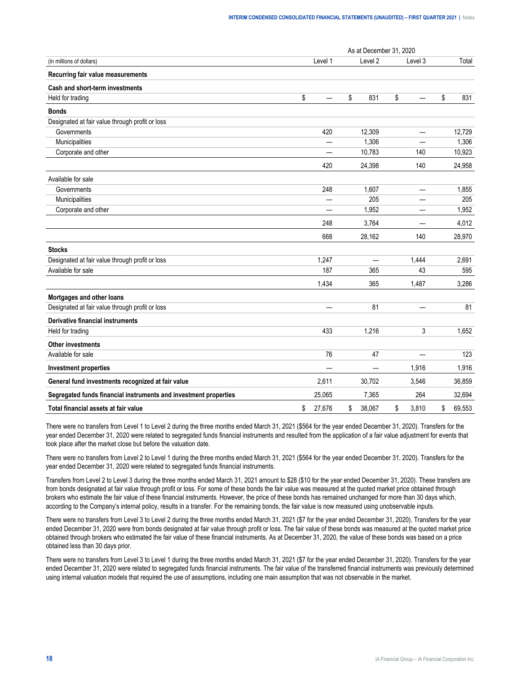|                                                                  |              | As at December 31, 2020  |                          |              |
|------------------------------------------------------------------|--------------|--------------------------|--------------------------|--------------|
| (in millions of dollars)                                         | Level 1      | Level 2                  | Level 3                  | Total        |
| Recurring fair value measurements                                |              |                          |                          |              |
| Cash and short-term investments                                  |              |                          |                          |              |
| Held for trading                                                 | \$           | \$<br>831                | \$                       | \$<br>831    |
| <b>Bonds</b>                                                     |              |                          |                          |              |
| Designated at fair value through profit or loss                  |              |                          |                          |              |
| Governments                                                      | 420          | 12,309                   |                          | 12,729       |
| Municipalities                                                   | —            | 1,306                    | ÷.                       | 1,306        |
| Corporate and other                                              |              | 10,783                   | 140                      | 10,923       |
|                                                                  | 420          | 24,398                   | 140                      | 24,958       |
| Available for sale                                               |              |                          |                          |              |
| Governments                                                      | 248          | 1,607                    | $\overline{\phantom{0}}$ | 1,855        |
| Municipalities                                                   |              | 205                      |                          | 205          |
| Corporate and other                                              |              | 1,952                    |                          | 1,952        |
|                                                                  | 248          | 3,764                    |                          | 4,012        |
|                                                                  | 668          | 28,162                   | 140                      | 28,970       |
| <b>Stocks</b>                                                    |              |                          |                          |              |
| Designated at fair value through profit or loss                  | 1,247        | $\overline{\phantom{0}}$ | 1,444                    | 2,691        |
| Available for sale                                               | 187          | 365                      | 43                       | 595          |
|                                                                  | 1,434        | 365                      | 1,487                    | 3,286        |
| Mortgages and other loans                                        |              |                          |                          |              |
| Designated at fair value through profit or loss                  |              | 81                       |                          | 81           |
| <b>Derivative financial instruments</b>                          |              |                          |                          |              |
| Held for trading                                                 | 433          | 1,216                    | 3                        | 1,652        |
| <b>Other investments</b>                                         |              |                          |                          |              |
| Available for sale                                               | 76           | 47                       |                          | 123          |
| <b>Investment properties</b>                                     |              | —                        | 1,916                    | 1,916        |
| General fund investments recognized at fair value                | 2,611        | 30,702                   | 3,546                    | 36,859       |
| Segregated funds financial instruments and investment properties | 25,065       | 7,365                    | 264                      | 32,694       |
| Total financial assets at fair value                             | \$<br>27,676 | \$<br>38,067             | \$<br>3,810              | \$<br>69,553 |

There were no transfers from Level 1 to Level 2 during the three months ended March 31, 2021 (\$564 for the year ended December 31, 2020). Transfers for the year ended December 31, 2020 were related to segregated funds financial instruments and resulted from the application of a fair value adjustment for events that took place after the market close but before the valuation date.

There were no transfers from Level 2 to Level 1 during the three months ended March 31, 2021 (\$564 for the year ended December 31, 2020). Transfers for the year ended December 31, 2020 were related to segregated funds financial instruments.

Transfers from Level 2 to Level 3 during the three months ended March 31, 2021 amount to \$28 (\$10 for the year ended December 31, 2020). These transfers are from bonds designated at fair value through profit or loss. For some of these bonds the fair value was measured at the quoted market price obtained through brokers who estimate the fair value of these financial instruments. However, the price of these bonds has remained unchanged for more than 30 days which, according to the Company's internal policy, results in a transfer. For the remaining bonds, the fair value is now measured using unobservable inputs.

There were no transfers from Level 3 to Level 2 during the three months ended March 31, 2021 (\$7 for the year ended December 31, 2020). Transfers for the year ended December 31, 2020 were from bonds designated at fair value through profit or loss. The fair value of these bonds was measured at the quoted market price obtained through brokers who estimated the fair value of these financial instruments. As at December 31, 2020, the value of these bonds was based on a price obtained less than 30 days prior.

There were no transfers from Level 3 to Level 1 during the three months ended March 31, 2021 (\$7 for the year ended December 31, 2020). Transfers for the year ended December 31, 2020 were related to segregated funds financial instruments. The fair value of the transferred financial instruments was previously determined using internal valuation models that required the use of assumptions, including one main assumption that was not observable in the market.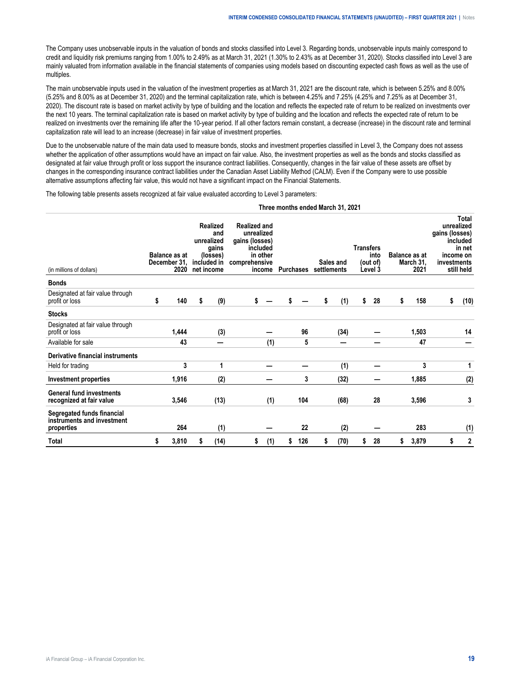The Company uses unobservable inputs in the valuation of bonds and stocks classified into Level 3. Regarding bonds, unobservable inputs mainly correspond to credit and liquidity risk premiums ranging from 1.00% to 2.49% as at March 31, 2021 (1.30% to 2.43% as at December 31, 2020). Stocks classified into Level 3 are mainly valuated from information available in the financial statements of companies using models based on discounting expected cash flows as well as the use of multiples.

The main unobservable inputs used in the valuation of the investment properties as at March 31, 2021 are the discount rate, which is between 5.25% and 8.00% (5.25% and 8.00% as at December 31, 2020) and the terminal capitalization rate, which is between 4.25% and 7.25% (4.25% and 7.25% as at December 31, 2020). The discount rate is based on market activity by type of building and the location and reflects the expected rate of return to be realized on investments over the next 10 years. The terminal capitalization rate is based on market activity by type of building and the location and reflects the expected rate of return to be realized on investments over the remaining life after the 10-year period. If all other factors remain constant, a decrease (increase) in the discount rate and terminal capitalization rate will lead to an increase (decrease) in fair value of investment properties.

Due to the unobservable nature of the main data used to measure bonds, stocks and investment properties classified in Level 3, the Company does not assess whether the application of other assumptions would have an impact on fair value. Also, the investment properties as well as the bonds and stocks classified as designated at fair value through profit or loss support the insurance contract liabilities. Consequently, changes in the fair value of these assets are offset by changes in the corresponding insurance contract liabilities under the Canadian Asset Liability Method (CALM). Even if the Company were to use possible alternative assumptions affecting fair value, this would not have a significant impact on the Financial Statements.

**Three months ended March 31, 2021**

The following table presents assets recognized at fair value evaluated according to Level 3 parameters:

| (in millions of dollars)                                               |    | <b>Balance as at</b><br>December 31,<br>2020 | net income | <b>Realized</b><br>and<br>unrealized<br>gains<br>(losses)<br>included in | <b>Realized and</b><br>unrealized<br>gains (losses)<br>included<br>in other<br>comprehensive<br>income |     | Purchases |     | settlements | Sales and | <b>Transfers</b> | into<br>(out of)<br>Level 3 | Balance as at<br>March 31,<br>2021 | gains (losses)<br>investments | Total<br>unrealized<br>included<br>in net<br>income on<br>still held |
|------------------------------------------------------------------------|----|----------------------------------------------|------------|--------------------------------------------------------------------------|--------------------------------------------------------------------------------------------------------|-----|-----------|-----|-------------|-----------|------------------|-----------------------------|------------------------------------|-------------------------------|----------------------------------------------------------------------|
| <b>Bonds</b>                                                           |    |                                              |            |                                                                          |                                                                                                        |     |           |     |             |           |                  |                             |                                    |                               |                                                                      |
| Designated at fair value through<br>profit or loss                     | S  | 140                                          | s          | (9)                                                                      |                                                                                                        |     |           |     | S           | (1)       | \$               | 28                          | \$<br>158                          | \$                            | (10)                                                                 |
| <b>Stocks</b>                                                          |    |                                              |            |                                                                          |                                                                                                        |     |           |     |             |           |                  |                             |                                    |                               |                                                                      |
| Designated at fair value through<br>profit or loss                     |    | 1,444                                        |            | (3)                                                                      |                                                                                                        |     |           | 96  |             | (34)      |                  |                             | 1,503                              |                               | 14                                                                   |
| Available for sale                                                     |    | 43                                           |            | –                                                                        |                                                                                                        | (1) |           | 5   |             |           |                  |                             | 47                                 |                               |                                                                      |
| <b>Derivative financial instruments</b>                                |    |                                              |            |                                                                          |                                                                                                        |     |           |     |             |           |                  |                             |                                    |                               |                                                                      |
| Held for trading                                                       |    | 3                                            |            | 1                                                                        |                                                                                                        |     |           |     |             | (1)       |                  |                             | 3                                  |                               | 1                                                                    |
| Investment properties                                                  |    | 1,916                                        |            | (2)                                                                      |                                                                                                        |     |           | 3   |             | (32)      |                  |                             | 1,885                              |                               | (2)                                                                  |
| <b>General fund investments</b><br>recognized at fair value            |    | 3,546                                        |            | (13)                                                                     |                                                                                                        | (1) |           | 104 |             | (68)      |                  | 28                          | 3,596                              |                               | 3                                                                    |
| Segregated funds financial<br>instruments and investment<br>properties |    | 264                                          |            | (1)                                                                      |                                                                                                        |     |           | 22  |             | (2)       |                  |                             | 283                                |                               | (1)                                                                  |
| Total                                                                  | \$ | 3,810                                        | S          | (14)                                                                     | \$                                                                                                     | (1) | \$        | 126 | \$          | (70)      | \$               | 28                          | \$<br>3,879                        | \$                            | $\mathbf 2$                                                          |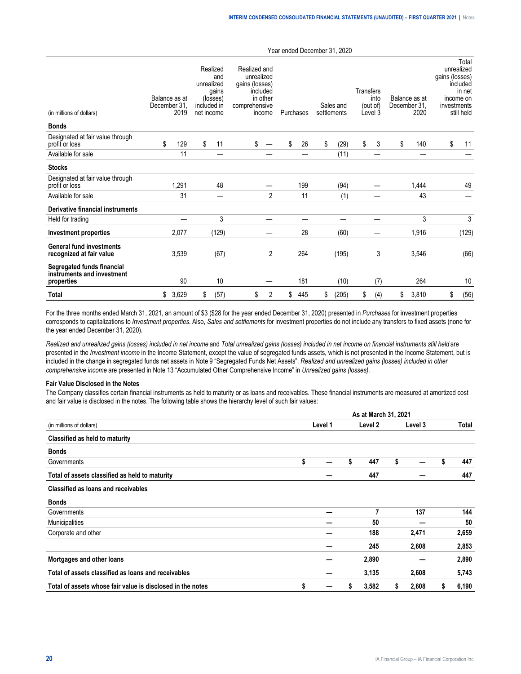| (in millions of dollars)                                               | December 31 | Balance as at<br>2019 | Realized<br>and<br>unrealized<br>gains<br>(losses)<br>included in<br>net income | Realized and<br>unrealized<br>gains (losses)<br>comprehensive | included<br>in other<br>income | Purchases |     | Sales and<br>settlements | Transfers | into<br>(out of)<br>Level 3 | Balance as at<br>December 31.<br>2020 | gains (losses)<br>investments | Total<br>unrealized<br>included<br>in net<br>income on<br>still held |
|------------------------------------------------------------------------|-------------|-----------------------|---------------------------------------------------------------------------------|---------------------------------------------------------------|--------------------------------|-----------|-----|--------------------------|-----------|-----------------------------|---------------------------------------|-------------------------------|----------------------------------------------------------------------|
| <b>Bonds</b>                                                           |             |                       |                                                                                 |                                                               |                                |           |     |                          |           |                             |                                       |                               |                                                                      |
| Designated at fair value through<br>profit or loss                     | \$          | 129                   | \$<br>11                                                                        | \$                                                            |                                | \$        | 26  | \$<br>(29)               | \$        | 3                           | \$<br>140                             | \$                            | 11                                                                   |
| Available for sale                                                     |             | 11                    |                                                                                 |                                                               |                                |           |     | (11)                     |           |                             |                                       |                               |                                                                      |
| <b>Stocks</b>                                                          |             |                       |                                                                                 |                                                               |                                |           |     |                          |           |                             |                                       |                               |                                                                      |
| Designated at fair value through<br>profit or loss                     |             | 1,291                 | 48                                                                              |                                                               |                                |           | 199 | (94)                     |           |                             | 1,444                                 |                               | 49                                                                   |
| Available for sale                                                     |             | 31                    | -                                                                               |                                                               | $\overline{2}$                 |           | 11  | (1)                      |           |                             | 43                                    |                               |                                                                      |
| Derivative financial instruments                                       |             |                       |                                                                                 |                                                               |                                |           |     |                          |           |                             |                                       |                               |                                                                      |
| Held for trading                                                       |             |                       | 3                                                                               |                                                               |                                |           |     |                          |           |                             | 3                                     |                               | 3                                                                    |
| Investment properties                                                  |             | 2,077                 | (129)                                                                           |                                                               |                                |           | 28  | (60)                     |           |                             | 1,916                                 |                               | (129)                                                                |
| <b>General fund investments</b><br>recognized at fair value            |             | 3,539                 | (67)                                                                            |                                                               | 2                              |           | 264 | (195)                    |           | 3                           | 3,546                                 |                               | (66)                                                                 |
| Segregated funds financial<br>instruments and investment<br>properties |             | 90                    | 10                                                                              |                                                               |                                |           | 181 | (10)                     |           | (7)                         | 264                                   |                               | 10                                                                   |
| <b>Total</b>                                                           | \$          | 3,629                 | \$<br>(57)                                                                      | \$                                                            | 2                              | \$        | 445 | \$<br>(205)              | \$        | (4)                         | \$<br>3,810                           | \$                            | (56)                                                                 |

For the three months ended March 31, 2021, an amount of \$3 (\$28 for the year ended December 31, 2020) presented in *Purchases* for investment properties corresponds to capitalizations to *Investment properties*. Also, *Sales and settlements* for investment properties do not include any transfers to fixed assets (none for the year ended December 31, 2020).

*Realized and unrealized gains (losses) included in net income* and *Total unrealized gains (losses) included in net income on financial instruments still held* are presented in the *Investment income* in the Income Statement, except the value of segregated funds assets, which is not presented in the Income Statement, but is included in the change in segregated funds net assets in Note 9 "Segregated Funds Net Assets". *Realized and unrealized gains (losses) included in other comprehensive income* are presented in Note 13 "Accumulated Other Comprehensive Income" in *Unrealized gains (losses).*

#### **Fair Value Disclosed in the Notes**

The Company classifies certain financial instruments as held to maturity or as loans and receivables. These financial instruments are measured at amortized cost and fair value is disclosed in the notes. The following table shows the hierarchy level of such fair values:

|                                                            |         |    | As at March 31, 2021 |    |         |   |       |
|------------------------------------------------------------|---------|----|----------------------|----|---------|---|-------|
| (in millions of dollars)                                   | Level 1 |    | Level 2              |    | Level 3 |   | Total |
| Classified as held to maturity                             |         |    |                      |    |         |   |       |
| <b>Bonds</b>                                               |         |    |                      |    |         |   |       |
| Governments                                                | \$      | \$ | 447                  | \$ |         | s | 447   |
| Total of assets classified as held to maturity             |         |    | 447                  |    |         |   | 447   |
| Classified as loans and receivables                        |         |    |                      |    |         |   |       |
| <b>Bonds</b>                                               |         |    |                      |    |         |   |       |
| Governments                                                |         |    | 7                    |    | 137     |   | 144   |
| Municipalities                                             |         |    | 50                   |    |         |   | 50    |
| Corporate and other                                        |         |    | 188                  |    | 2,471   |   | 2,659 |
|                                                            |         |    | 245                  |    | 2,608   |   | 2,853 |
| Mortgages and other loans                                  |         |    | 2,890                |    |         |   | 2,890 |
| Total of assets classified as loans and receivables        |         |    | 3,135                |    | 2,608   |   | 5,743 |
| Total of assets whose fair value is disclosed in the notes | \$      | S  | 3,582                | s  | 2,608   | S | 6,190 |

#### Year ended December 31, 2020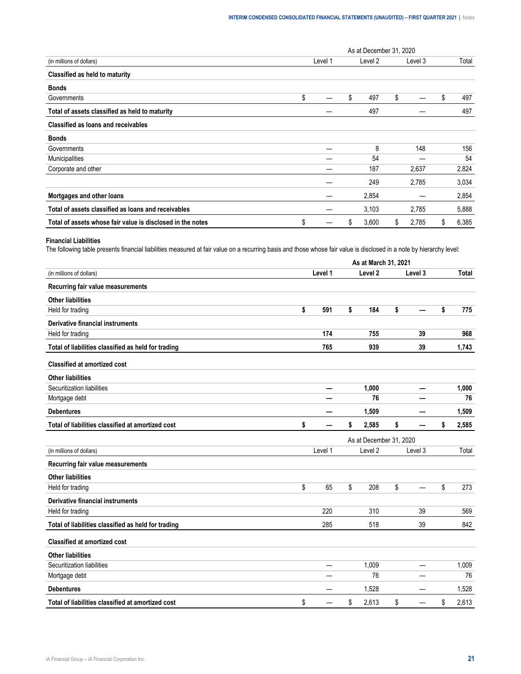|                                                            |         |    | As at December 31, 2020 |             |             |
|------------------------------------------------------------|---------|----|-------------------------|-------------|-------------|
| (in millions of dollars)                                   | Level 1 |    | Level 2                 | Level 3     | Total       |
| Classified as held to maturity                             |         |    |                         |             |             |
| <b>Bonds</b>                                               |         |    |                         |             |             |
| Governments                                                | \$      | S  | 497                     | \$          | \$<br>497   |
| Total of assets classified as held to maturity             |         |    | 497                     |             | 497         |
| Classified as loans and receivables                        |         |    |                         |             |             |
| <b>Bonds</b>                                               |         |    |                         |             |             |
| Governments                                                |         |    | 8                       | 148         | 156         |
| Municipalities                                             |         |    | 54                      |             | 54          |
| Corporate and other                                        |         |    | 187                     | 2,637       | 2,824       |
|                                                            |         |    | 249                     | 2,785       | 3,034       |
| Mortgages and other loans                                  |         |    | 2,854                   |             | 2,854       |
| Total of assets classified as loans and receivables        |         |    | 3,103                   | 2,785       | 5,888       |
| Total of assets whose fair value is disclosed in the notes | \$      | \$ | 3,600                   | \$<br>2,785 | \$<br>6,385 |

#### **Financial Liabilities**

The following table presents financial liabilities measured at fair value on a recurring basis and those whose fair value is disclosed in a note by hierarchy level:

|                                                     | As at March 31, 2021 |    |                         |    |         |    |              |  |  |  |
|-----------------------------------------------------|----------------------|----|-------------------------|----|---------|----|--------------|--|--|--|
| (in millions of dollars)                            | Level 1              |    | Level <sub>2</sub>      |    | Level 3 |    | <b>Total</b> |  |  |  |
| Recurring fair value measurements                   |                      |    |                         |    |         |    |              |  |  |  |
| <b>Other liabilities</b>                            |                      |    |                         |    |         |    |              |  |  |  |
| Held for trading                                    | \$<br>591            | \$ | 184                     | \$ |         | \$ | 775          |  |  |  |
| Derivative financial instruments                    |                      |    |                         |    |         |    |              |  |  |  |
| Held for trading                                    | 174                  |    | 755                     |    | 39      |    | 968          |  |  |  |
| Total of liabilities classified as held for trading | 765                  |    | 939                     |    | 39      |    | 1,743        |  |  |  |
| <b>Classified at amortized cost</b>                 |                      |    |                         |    |         |    |              |  |  |  |
| <b>Other liabilities</b>                            |                      |    |                         |    |         |    |              |  |  |  |
| Securitization liabilities                          |                      |    | 1,000                   |    |         |    | 1,000        |  |  |  |
| Mortgage debt                                       |                      |    | 76                      |    |         |    | 76           |  |  |  |
| <b>Debentures</b>                                   |                      |    | 1,509                   |    |         |    | 1,509        |  |  |  |
| Total of liabilities classified at amortized cost   | \$                   | \$ | 2,585                   | \$ |         | \$ | 2,585        |  |  |  |
|                                                     |                      |    | As at December 31, 2020 |    |         |    |              |  |  |  |
| (in millions of dollars)                            | Level 1              |    | Level <sub>2</sub>      |    | Level 3 |    | Total        |  |  |  |
| Recurring fair value measurements                   |                      |    |                         |    |         |    |              |  |  |  |
| <b>Other liabilities</b>                            |                      |    |                         |    |         |    |              |  |  |  |
| Held for trading                                    | \$<br>65             | \$ | 208                     | \$ |         | \$ | 273          |  |  |  |
| <b>Derivative financial instruments</b>             |                      |    |                         |    |         |    |              |  |  |  |
| Held for trading                                    | 220                  |    | 310                     |    | 39      |    | 569          |  |  |  |
| Total of liabilities classified as held for trading | 285                  |    | 518                     |    | 39      |    | 842          |  |  |  |
| <b>Classified at amortized cost</b>                 |                      |    |                         |    |         |    |              |  |  |  |
| <b>Other liabilities</b>                            |                      |    |                         |    |         |    |              |  |  |  |
| Securitization liabilities                          | —                    |    | 1,009                   |    |         |    | 1,009        |  |  |  |
| Mortgage debt                                       |                      |    | 76                      |    |         |    | 76           |  |  |  |
| <b>Debentures</b>                                   |                      |    | 1,528                   |    |         |    | 1,528        |  |  |  |
| Total of liabilities classified at amortized cost   | \$                   | \$ | 2,613                   | \$ |         | \$ | 2,613        |  |  |  |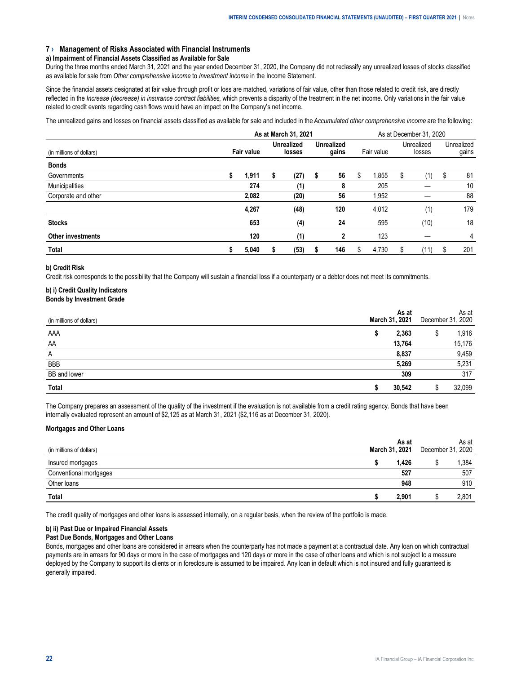#### <span id="page-21-0"></span>**7 › Management of Risks Associated with Financial Instruments**

#### **a) Impairment of Financial Assets Classified as Available for Sale**

During the three months ended March 31, 2021 and the year ended December 31, 2020, the Company did not reclassify any unrealized losses of stocks classified as available for sale from *Other comprehensive income* to *Investment income* in the Income Statement.

Since the financial assets designated at fair value through profit or loss are matched, variations of fair value, other than those related to credit risk, are directly reflected in the *Increase (decrease) in insurance contract liabilities*, which prevents a disparity of the treatment in the net income. Only variations in the fair value related to credit events regarding cash flows would have an impact on the Company's net income.

The unrealized gains and losses on financial assets classified as available for sale and included in the *Accumulated other comprehensive income* are the following:

|                          | As at March 31, 2021 |                   |   |                             |   |                            |    | As at December 31, 2020 |    |                      |   |                     |  |  |
|--------------------------|----------------------|-------------------|---|-----------------------------|---|----------------------------|----|-------------------------|----|----------------------|---|---------------------|--|--|
| (in millions of dollars) |                      | <b>Fair value</b> |   | <b>Unrealized</b><br>losses |   | <b>Unrealized</b><br>gains |    | Fair value              |    | Unrealized<br>losses |   | Unrealized<br>gains |  |  |
| <b>Bonds</b>             |                      |                   |   |                             |   |                            |    |                         |    |                      |   |                     |  |  |
| Governments              | \$                   | 1.911             | S | (27)                        | 5 | 56                         | \$ | 1.855                   | S  | (1)                  | S | 81                  |  |  |
| Municipalities           |                      | 274               |   | (1)                         |   | 8                          |    | 205                     |    |                      |   | 10                  |  |  |
| Corporate and other      |                      | 2,082             |   | (20)                        |   | 56                         |    | 1,952                   |    |                      |   | 88                  |  |  |
|                          |                      | 4,267             |   | (48)                        |   | 120                        |    | 4,012                   |    | (1)                  |   | 179                 |  |  |
| <b>Stocks</b>            |                      | 653               |   | (4)                         |   | 24                         |    | 595                     |    | (10)                 |   | 18                  |  |  |
| <b>Other investments</b> |                      | 120               |   | (1)                         |   | 2                          |    | 123                     |    |                      |   | 4                   |  |  |
| <b>Total</b>             | S                    | 5,040             |   | (53)                        | ъ | 146                        | \$ | 4,730                   | \$ | (11)                 | S | 201                 |  |  |

#### **b) Credit Risk**

Credit risk corresponds to the possibility that the Company will sustain a financial loss if a counterparty or a debtor does not meet its commitments.

#### **b) i) Credit Quality Indicators Bonds by Investment Grade**

|  | DUIIUS DY INVESUNENT OF QUE |  |
|--|-----------------------------|--|
|  |                             |  |

| iollars             | March | 2021 | December 31 | As at<br>.2020 |
|---------------------|-------|------|-------------|----------------|
| AAA<br>------------ |       |      |             | 916            |
| AA                  |       |      |             | .176           |
| A                   |       |      |             | .459           |
| <b>BBB</b>          |       |      |             | 5,231          |
| BB and lower        |       |      |             | 317            |
|                     |       |      |             |                |

The Company prepares an assessment of the quality of the investment if the evaluation is not available from a credit rating agency. Bonds that have been internally evaluated represent an amount of \$2,125 as at March 31, 2021 (\$2,116 as at December 31, 2020).

#### **Mortgages and Other Loans**

| dollars                                             | As at<br>2021               | Jecer | As at<br>2020 |
|-----------------------------------------------------|-----------------------------|-------|---------------|
| Insured mortgages                                   | .426                        |       | .384          |
| ventional mor<br>rtgages                            | --------------------------- |       | 507           |
| ------------------------------------<br>Other loans |                             |       | 910           |
| Total                                               | 1.90″                       |       | 801           |

The credit quality of mortgages and other loans is assessed internally, on a regular basis, when the review of the portfolio is made.

#### **b) ii) Past Due or Impaired Financial Assets**

#### **Past Due Bonds, Mortgages and Other Loans**

Bonds, mortgages and other loans are considered in arrears when the counterparty has not made a payment at a contractual date. Any loan on which contractual payments are in arrears for 90 days or more in the case of mortgages and 120 days or more in the case of other loans and which is not subject to a measure deployed by the Company to support its clients or in foreclosure is assumed to be impaired. Any loan in default which is not insured and fully guaranteed is generally impaired.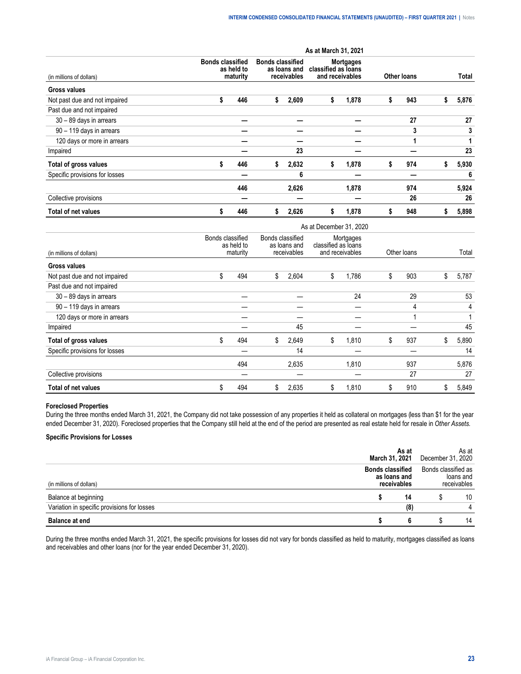|                                |    |                                                   |    |                                                        | As at March 31, 2021 |                                                            |                    |     |    |       |
|--------------------------------|----|---------------------------------------------------|----|--------------------------------------------------------|----------------------|------------------------------------------------------------|--------------------|-----|----|-------|
| (in millions of dollars)       |    | <b>Bonds classified</b><br>as held to<br>maturity |    | <b>Bonds classified</b><br>as loans and<br>receivables |                      | <b>Mortgages</b><br>classified as loans<br>and receivables | <b>Other loans</b> |     |    | Total |
| <b>Gross values</b>            |    |                                                   |    |                                                        |                      |                                                            |                    |     |    |       |
| Not past due and not impaired  | \$ | 446                                               | s  | 2,609                                                  | \$                   | 1,878                                                      | S                  | 943 | ъ  | 5,876 |
| Past due and not impaired      |    |                                                   |    |                                                        |                      |                                                            |                    |     |    |       |
| 30 - 89 days in arrears        |    |                                                   |    |                                                        |                      |                                                            |                    | 27  |    | 27    |
| 90 - 119 days in arrears       |    |                                                   |    |                                                        |                      |                                                            |                    | 3   |    | 3     |
| 120 days or more in arrears    |    |                                                   |    |                                                        |                      |                                                            |                    |     |    |       |
| Impaired                       |    |                                                   |    | 23                                                     |                      |                                                            |                    |     |    | 23    |
| Total of gross values          | \$ | 446                                               | s. | 2,632                                                  | s                    | 1,878                                                      | s                  | 974 | S. | 5,930 |
| Specific provisions for losses |    |                                                   |    | 6                                                      |                      |                                                            |                    |     |    | 6     |
|                                |    | 446                                               |    | 2,626                                                  |                      | 1,878                                                      |                    | 974 |    | 5,924 |
| Collective provisions          |    |                                                   |    |                                                        |                      |                                                            |                    | 26  |    | 26    |
| <b>Total of net values</b>     | S  | 446                                               | 5  | 2,626                                                  | s.                   | 1,878                                                      |                    | 948 |    | 5,898 |

|                                |                                            |     |                  |                             | As at December 31, 2020                             |       |             |     |    |       |
|--------------------------------|--------------------------------------------|-----|------------------|-----------------------------|-----------------------------------------------------|-------|-------------|-----|----|-------|
| (in millions of dollars)       | Bonds classified<br>as held to<br>maturity |     | Bonds classified | as loans and<br>receivables | Mortgages<br>classified as loans<br>and receivables |       | Other loans |     |    | Total |
| Gross values                   |                                            |     |                  |                             |                                                     |       |             |     |    |       |
| Not past due and not impaired  | \$                                         | 494 | \$               | 2,604                       | \$                                                  | 1,786 | \$          | 903 | \$ | 5,787 |
| Past due and not impaired      |                                            |     |                  |                             |                                                     |       |             |     |    |       |
| 30 - 89 days in arrears        |                                            |     |                  |                             |                                                     | 24    |             | 29  |    | 53    |
| 90 - 119 days in arrears       |                                            |     |                  |                             |                                                     |       |             | 4   |    | 4     |
| 120 days or more in arrears    |                                            |     |                  |                             |                                                     |       |             |     |    |       |
| Impaired                       |                                            |     |                  | 45                          |                                                     |       |             |     |    | 45    |
| Total of gross values          | \$                                         | 494 | \$               | 2,649                       | \$                                                  | 1,810 | \$          | 937 | \$ | 5,890 |
| Specific provisions for losses |                                            |     |                  | 14                          |                                                     |       |             |     |    | 14    |
|                                |                                            | 494 |                  | 2,635                       |                                                     | 1,810 |             | 937 |    | 5,876 |
| Collective provisions          |                                            |     |                  |                             |                                                     |       |             | 27  |    | 27    |
| <b>Total of net values</b>     | \$                                         | 494 | \$               | 2,635                       | \$                                                  | 1,810 | \$          | 910 | S  | 5,849 |

## **Foreclosed Properties**

During the three months ended March 31, 2021, the Company did not take possession of any properties it held as collateral on mortgages (less than \$1 for the year ended December 31, 2020). Foreclosed properties that the Company still held at the end of the period are presented as real estate held for resale in *Other Assets.*

# **Specific Provisions for Losses**

| t end                                       |                                           |                                               | 14 |  |  |
|---------------------------------------------|-------------------------------------------|-----------------------------------------------|----|--|--|
| Variation in specific provisions for losses | 18                                        |                                               |    |  |  |
| Balance at beginning                        | 14                                        |                                               | 10 |  |  |
| ions of dollars)                            | classified<br>as loans and<br>receivables | Bonds classified as<br>ioans and<br>ceivables |    |  |  |
|                                             | As at<br>March 31, 2021                   | As at<br>December 31, 2020                    |    |  |  |

During the three months ended March 31, 2021, the specific provisions for losses did not vary for bonds classified as held to maturity, mortgages classified as loans and receivables and other loans (nor for the year ended December 31, 2020).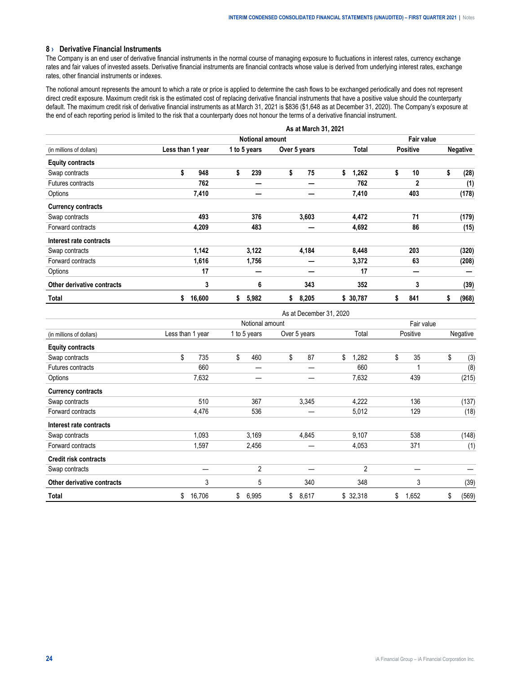## <span id="page-23-0"></span>**8 › Derivative Financial Instruments**

The Company is an end user of derivative financial instruments in the normal course of managing exposure to fluctuations in interest rates, currency exchange rates and fair values of invested assets. Derivative financial instruments are financial contracts whose value is derived from underlying interest rates, exchange rates, other financial instruments or indexes.

The notional amount represents the amount to which a rate or price is applied to determine the cash flows to be exchanged periodically and does not represent direct credit exposure. Maximum credit risk is the estimated cost of replacing derivative financial instruments that have a positive value should the counterparty default. The maximum credit risk of derivative financial instruments as at March 31, 2021 is \$836 (\$1,648 as at December 31, 2020). The Company's exposure at the end of each reporting period is limited to the risk that a counterparty does not honour the terms of a derivative financial instrument.

|                            |                  |                        |    |              |    | As at March 31, 2021 |    |          |            |                 |    |                 |
|----------------------------|------------------|------------------------|----|--------------|----|----------------------|----|----------|------------|-----------------|----|-----------------|
|                            |                  | <b>Notional amount</b> |    |              |    |                      |    |          | Fair value |                 |    |                 |
| (in millions of dollars)   | Less than 1 year |                        |    | 1 to 5 years |    | Over 5 years         |    | Total    |            | <b>Positive</b> |    | <b>Negative</b> |
| <b>Equity contracts</b>    |                  |                        |    |              |    |                      |    |          |            |                 |    |                 |
| Swap contracts             | \$               | 948                    | \$ | 239          | \$ | 75                   | \$ | 1,262    | \$         | 10              | \$ | (28)            |
| Futures contracts          |                  | 762                    |    |              |    |                      |    | 762      |            | $\mathbf{2}$    |    | (1)             |
| Options                    |                  | 7,410                  |    |              |    |                      |    | 7,410    |            | 403             |    | (178)           |
| <b>Currency contracts</b>  |                  |                        |    |              |    |                      |    |          |            |                 |    |                 |
| Swap contracts             |                  | 493                    |    | 376          |    | 3,603                |    | 4,472    |            | 71              |    | (179)           |
| Forward contracts          |                  | 4,209                  |    | 483          |    |                      |    | 4,692    |            | 86              |    | (15)            |
| Interest rate contracts    |                  |                        |    |              |    |                      |    |          |            |                 |    |                 |
| Swap contracts             |                  | 1,142                  |    | 3,122        |    | 4,184                |    | 8,448    |            | 203             |    | (320)           |
| Forward contracts          |                  | 1,616                  |    | 1,756        |    |                      |    | 3,372    |            | 63              |    | (208)           |
| Options                    |                  | 17                     |    |              |    |                      |    | 17       |            |                 |    |                 |
| Other derivative contracts |                  | 3                      |    | 6            |    | 343                  |    | 352      |            | 3               |    | (39)            |
| Total                      | \$               | 16,600                 | \$ | 5,982        | \$ | 8,205                |    | \$30,787 | S          | 841             | \$ | (968)           |

|                              |                  |                 | As at December 31, 2020 |             |             |             |  |
|------------------------------|------------------|-----------------|-------------------------|-------------|-------------|-------------|--|
|                              |                  | Notional amount | Fair value              |             |             |             |  |
| (in millions of dollars)     | Less than 1 year | 1 to 5 years    | Over 5 years            | Total       | Positive    | Negative    |  |
| <b>Equity contracts</b>      |                  |                 |                         |             |             |             |  |
| Swap contracts               | \$<br>735        | \$<br>460       | \$<br>87                | \$<br>1,282 | \$<br>35    | \$<br>(3)   |  |
| Futures contracts            | 660              |                 |                         | 660         |             | (8)         |  |
| Options                      | 7,632            |                 |                         | 7,632       | 439         | (215)       |  |
| <b>Currency contracts</b>    |                  |                 |                         |             |             |             |  |
| Swap contracts               | 510              | 367             | 3,345                   | 4,222       | 136         | (137)       |  |
| Forward contracts            | 4,476            | 536             |                         | 5,012       | 129         | (18)        |  |
| Interest rate contracts      |                  |                 |                         |             |             |             |  |
| Swap contracts               | 1,093            | 3,169           | 4,845                   | 9,107       | 538         | (148)       |  |
| Forward contracts            | 1,597            | 2,456           |                         | 4,053       | 371         | (1)         |  |
| <b>Credit risk contracts</b> |                  |                 |                         |             |             |             |  |
| Swap contracts               |                  | 2               |                         | 2           |             |             |  |
| Other derivative contracts   | 3                | 5               | 340                     | 348         | 3           | (39)        |  |
| Total                        | \$<br>16,706     | \$<br>6,995     | \$<br>8,617             | \$32,318    | \$<br>1,652 | \$<br>(569) |  |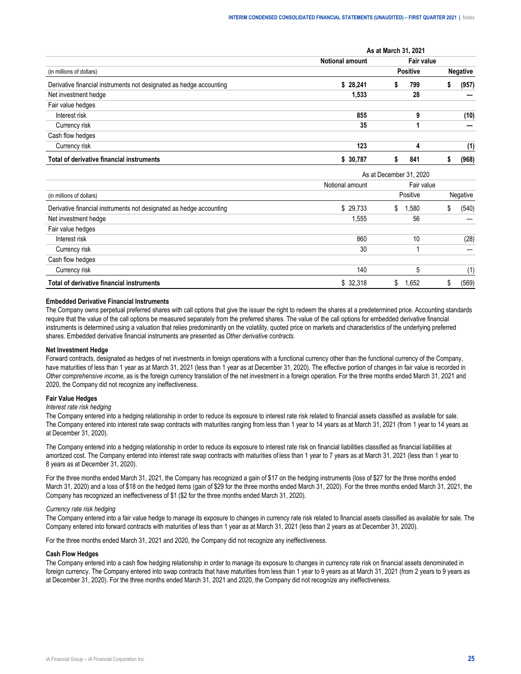|                                                                     | As at March 31, 2021   |  |                 |                 |       |  |  |  |  |
|---------------------------------------------------------------------|------------------------|--|-----------------|-----------------|-------|--|--|--|--|
|                                                                     | <b>Notional amount</b> |  | Fair value      |                 |       |  |  |  |  |
| (in millions of dollars)                                            |                        |  | <b>Positive</b> | <b>Negative</b> |       |  |  |  |  |
| Derivative financial instruments not designated as hedge accounting | \$28.241               |  | 799             |                 | (957) |  |  |  |  |
| Net investment hedge                                                | 1.533                  |  | 28              |                 |       |  |  |  |  |
| Fair value hedges                                                   |                        |  |                 |                 |       |  |  |  |  |
| Interest risk                                                       | 855                    |  |                 |                 | (10)  |  |  |  |  |
| Currency risk                                                       | 35                     |  |                 |                 |       |  |  |  |  |
| Cash flow hedges                                                    |                        |  |                 |                 |       |  |  |  |  |
| Currency risk                                                       | 123                    |  |                 |                 |       |  |  |  |  |
| Total of derivative financial instruments                           | \$ 30.787              |  | 841             |                 | (968) |  |  |  |  |

|                                                                     |                 | As at December 31, 2020 |          |  |  |  |  |  |  |  |
|---------------------------------------------------------------------|-----------------|-------------------------|----------|--|--|--|--|--|--|--|
|                                                                     | Notional amount | Fair value              |          |  |  |  |  |  |  |  |
| (in millions of dollars)                                            |                 | Positive                | Negative |  |  |  |  |  |  |  |
| Derivative financial instruments not designated as hedge accounting | \$29.733        | 1.580<br>S.             | (540)    |  |  |  |  |  |  |  |
| Net investment hedge                                                | 1.555           | 56                      |          |  |  |  |  |  |  |  |
| Fair value hedges                                                   |                 |                         |          |  |  |  |  |  |  |  |
| Interest risk                                                       | 860             | 10                      | (28)     |  |  |  |  |  |  |  |
| Currency risk                                                       | 30              |                         |          |  |  |  |  |  |  |  |
| Cash flow hedges                                                    |                 |                         |          |  |  |  |  |  |  |  |
| Currency risk                                                       | 140             | h                       |          |  |  |  |  |  |  |  |
| Total of derivative financial instruments                           | \$32.318        | l.652                   | (569)    |  |  |  |  |  |  |  |

#### **Embedded Derivative Financial Instruments**

The Company owns perpetual preferred shares with call options that give the issuer the right to redeem the shares at a predetermined price. Accounting standards require that the value of the call options be measured separately from the preferred shares. The value of the call options for embedded derivative financial instruments is determined using a valuation that relies predominantly on the volatility, quoted price on markets and characteristics of the underlying preferred shares. Embedded derivative financial instruments are presented as *Other derivative contracts*.

#### **Net Investment Hedge**

Forward contracts, designated as hedges of net investments in foreign operations with a functional currency other than the functional currency of the Company, have maturities of less than 1 year as at March 31, 2021 (less than 1 year as at December 31, 2020). The effective portion of changes in fair value is recorded in *Other comprehensive income*, as is the foreign currency translation of the net investment in a foreign operation. For the three months ended March 31, 2021 and 2020, the Company did not recognize any ineffectiveness.

#### **Fair Value Hedges**

#### *Interest rate risk hedging*

The Company entered into a hedging relationship in order to reduce its exposure to interest rate risk related to financial assets classified as available for sale. The Company entered into interest rate swap contracts with maturities ranging from less than 1 year to 14 years as at March 31, 2021 (from 1 year to 14 years as at December 31, 2020).

The Company entered into a hedging relationship in order to reduce its exposure to interest rate risk on financial liabilities classified as financial liabilities at amortized cost. The Company entered into interest rate swap contracts with maturities of less than 1 year to 7 years as at March 31, 2021 (less than 1 year to 8 years as at December 31, 2020).

For the three months ended March 31, 2021, the Company has recognized a gain of \$17 on the hedging instruments (loss of \$27 for the three months ended March 31, 2020) and a loss of \$18 on the hedged items (gain of \$29 for the three months ended March 31, 2020). For the three months ended March 31, 2021, the Company has recognized an ineffectiveness of \$1 (\$2 for the three months ended March 31, 2020).

#### *Currency rate risk hedging*

The Company entered into a fair value hedge to manage its exposure to changes in currency rate risk related to financial assets classified as available for sale. The Company entered into forward contracts with maturities of less than 1 year as at March 31, 2021 (less than 2 years as at December 31, 2020).

For the three months ended March 31, 2021 and 2020, the Company did not recognize any ineffectiveness.

#### **Cash Flow Hedges**

The Company entered into a cash flow hedging relationship in order to manage its exposure to changes in currency rate risk on financial assets denominated in foreign currency. The Company entered into swap contracts that have maturities from less than 1 year to 9 years as at March 31, 2021 (from 2 years to 9 years as at December 31, 2020). For the three months ended March 31, 2021 and 2020, the Company did not recognize any ineffectiveness.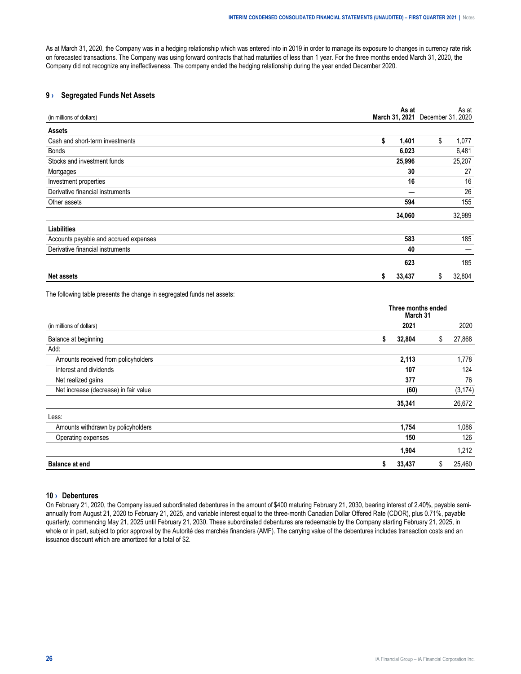<span id="page-25-0"></span>As at March 31, 2020, the Company was in a hedging relationship which was entered into in 2019 in order to manage its exposure to changes in currency rate risk on forecasted transactions. The Company was using forward contracts that had maturities of less than 1 year. For the three months ended March 31, 2020, the Company did not recognize any ineffectiveness. The company ended the hedging relationship during the year ended December 2020.

# **9 › Segregated Funds Net Assets**

| (in millions of dollars)              |    | As at  | March 31, 2021 December 31, 2020 | As at  |
|---------------------------------------|----|--------|----------------------------------|--------|
| <b>Assets</b>                         |    |        |                                  |        |
| Cash and short-term investments       | \$ | 1,401  | \$                               | 1,077  |
| <b>Bonds</b>                          |    | 6,023  |                                  | 6,481  |
| Stocks and investment funds           |    | 25,996 |                                  | 25,207 |
| Mortgages                             |    | 30     |                                  | 27     |
| Investment properties                 |    | 16     |                                  | 16     |
| Derivative financial instruments      |    |        |                                  | 26     |
| Other assets                          |    | 594    |                                  | 155    |
|                                       |    | 34,060 |                                  | 32,989 |
| <b>Liabilities</b>                    |    |        |                                  |        |
| Accounts payable and accrued expenses |    | 583    |                                  | 185    |
| Derivative financial instruments      |    | 40     |                                  |        |
|                                       |    | 623    |                                  | 185    |
| <b>Net assets</b>                     | \$ | 33,437 | \$                               | 32,804 |

The following table presents the change in segregated funds net assets:

|                                       | Three months ended<br>March 31 |    |          |  |  |  |  |
|---------------------------------------|--------------------------------|----|----------|--|--|--|--|
| (in millions of dollars)              | 2021                           |    | 2020     |  |  |  |  |
| Balance at beginning                  | 32,804<br>\$                   | \$ | 27,868   |  |  |  |  |
| Add:                                  |                                |    |          |  |  |  |  |
| Amounts received from policyholders   | 2,113                          |    | 1,778    |  |  |  |  |
| Interest and dividends                | 107                            |    | 124      |  |  |  |  |
| Net realized gains                    | 377                            |    | 76       |  |  |  |  |
| Net increase (decrease) in fair value | (60)                           |    | (3, 174) |  |  |  |  |
|                                       | 35,341                         |    | 26,672   |  |  |  |  |
| Less:                                 |                                |    |          |  |  |  |  |
| Amounts withdrawn by policyholders    | 1,754                          |    | 1,086    |  |  |  |  |
| Operating expenses                    | 150                            |    | 126      |  |  |  |  |
|                                       | 1,904                          |    | 1,212    |  |  |  |  |
| <b>Balance at end</b>                 | 33,437<br>\$                   | S  | 25,460   |  |  |  |  |

## **10 › Debentures**

On February 21, 2020, the Company issued subordinated debentures in the amount of \$400 maturing February 21, 2030, bearing interest of 2.40%, payable semiannually from August 21, 2020 to February 21, 2025, and variable interest equal to the three-month Canadian Dollar Offered Rate (CDOR), plus 0.71%, payable quarterly, commencing May 21, 2025 until February 21, 2030. These subordinated debentures are redeemable by the Company starting February 21, 2025, in whole or in part, subject to prior approval by the Autorité des marchés financiers (AMF). The carrying value of the debentures includes transaction costs and an issuance discount which are amortized for a total of \$2.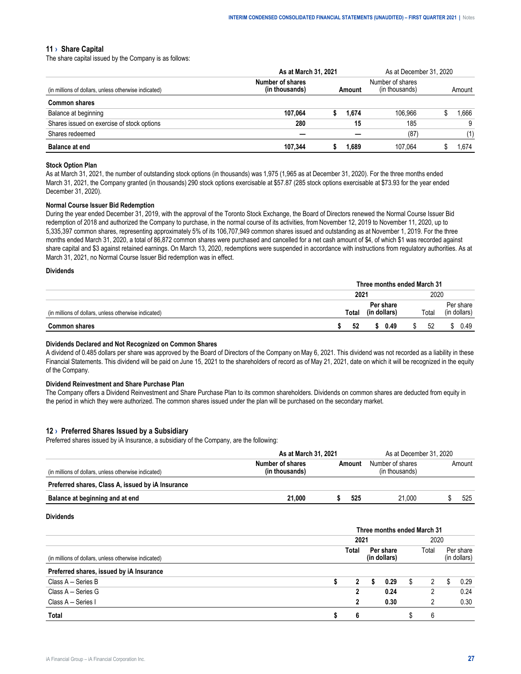#### <span id="page-26-0"></span>**11 › Share Capital**

The share capital issued by the Company is as follows:

|                                                      |                  | As at March 31, 2021 |  |        |        | As at December 31, 2020 |  |
|------------------------------------------------------|------------------|----------------------|--|--------|--------|-------------------------|--|
| (in millions of dollars, unless otherwise indicated) | Number of shares |                      |  |        | Amount |                         |  |
| Common shares                                        |                  |                      |  |        |        |                         |  |
| Balance at beginning                                 | 107.064          |                      |  | 06.966 |        | hhh                     |  |
| Shares issued on exercise of stock options           | 280              |                      |  | 185    |        |                         |  |
| Shares redeemed                                      |                  |                      |  |        |        |                         |  |
| ce at eno                                            | 344              |                      |  | -064   |        |                         |  |

#### **Stock Option Plan**

As at March 31, 2021, the number of outstanding stock options (in thousands) was 1,975 (1,965 as at December 31, 2020). For the three months ended March 31, 2021, the Company granted (in thousands) 290 stock options exercisable at \$57.87 (285 stock options exercisable at \$73.93 for the year ended December 31, 2020).

#### **Normal Course Issuer Bid Redemption**

During the year ended December 31, 2019, with the approval of the Toronto Stock Exchange, the Board of Directors renewed the Normal Course Issuer Bid redemption of 2018 and authorized the Company to purchase, in the normal course of its activities, from November 12, 2019 to November 11, 2020, up to 5,335,397 common shares, representing approximately 5% of its 106,707,949 common shares issued and outstanding as at November 1, 2019. For the three months ended March 31, 2020, a total of 86,872 common shares were purchased and cancelled for a net cash amount of \$4, of which \$1 was recorded against share capital and \$3 against retained earnings. On March 13, 2020, redemptions were suspended in accordance with instructions from regulatory authorities. As at March 31, 2021, no Normal Course Issuer Bid redemption was in effect.

#### **Dividends**

|                                             | Three months ended March 31 |       |  |         |      |       |        |  |  |
|---------------------------------------------|-----------------------------|-------|--|---------|------|-------|--------|--|--|
|                                             | 2021                        |       |  |         | 2020 |       |        |  |  |
| ons of dollars, unless otherwise indicated) |                             | `otal |  | * share |      | ⊺otal | ∵share |  |  |
|                                             |                             | 52    |  | 0.49    |      | 52    | 0.49   |  |  |

#### **Dividends Declared and Not Recognized on Common Shares**

A dividend of 0.485 dollars per share was approved by the Board of Directors of the Company on May 6, 2021. This dividend was not recorded as a liability in these Financial Statements. This dividend will be paid on June 15, 2021 to the shareholders of record as of May 21, 2021, date on which it will be recognized in the equity of the Company.

#### **Dividend Reinvestment and Share Purchase Plan**

The Company offers a Dividend Reinvestment and Share Purchase Plan to its common shareholders. Dividends on common shares are deducted from equity in the period in which they were authorized. The common shares issued under the plan will be purchased on the secondary market.

#### **12 › Preferred Shares Issued by a Subsidiary**

Preferred shares issued by iA Insurance, a subsidiary of the Company, are the following:

|                                                      | As at March 31, 2021 |       | As at December 31, 2020 |        |  |  |  |
|------------------------------------------------------|----------------------|-------|-------------------------|--------|--|--|--|
| (in millions of dollars, unless otherwise indicated) | Number of shares     | mount | Number of shares        | Amount |  |  |  |
| Preferred shares, Class A, issued by iA Insurance    |                      |       |                         |        |  |  |  |
| Balance at beginning and at end                      | 21.000               | 52.   | 21.000                  | 525    |  |  |  |

#### **Dividends**

|                                                      | Three months ended March 31 |      |           |      |  |      |  |           |  |  |  |
|------------------------------------------------------|-----------------------------|------|-----------|------|--|------|--|-----------|--|--|--|
|                                                      |                             | 202  |           |      |  |      |  |           |  |  |  |
| (in millions of dollars, unless otherwise indicated) |                             | otal | Per share |      |  | otal |  | Per share |  |  |  |
| Preferred shares, issued by iA Insurance             |                             |      |           |      |  |      |  |           |  |  |  |
| Class A - Series B                                   |                             |      |           | O.29 |  |      |  | በ 29      |  |  |  |
| Class A - Series G                                   |                             |      |           | 0.24 |  |      |  | 0.24      |  |  |  |
| Class A - Series I                                   |                             |      |           | 0.30 |  |      |  | ) 30      |  |  |  |
|                                                      |                             |      |           |      |  |      |  |           |  |  |  |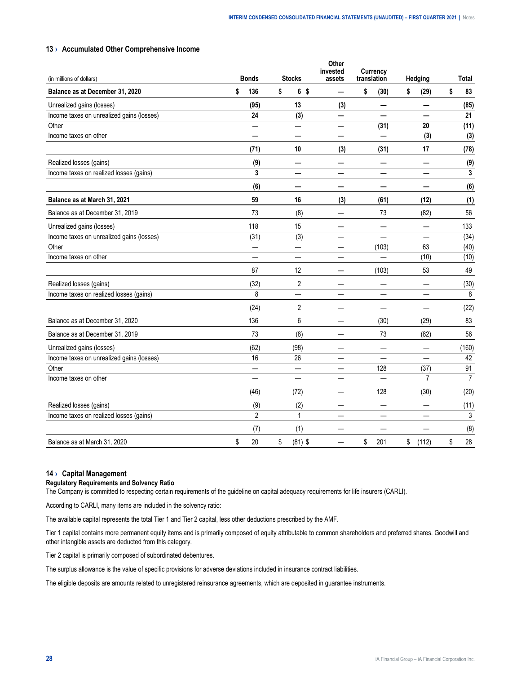## <span id="page-27-0"></span>**13 › Accumulated Other Comprehensive Income**

| (in millions of dollars)                  | <b>Bonds</b>   | <b>Stocks</b>        | Other<br>invested<br>assets | <b>Currency</b><br>translation | Hedging        | <b>Total</b>   |
|-------------------------------------------|----------------|----------------------|-----------------------------|--------------------------------|----------------|----------------|
| Balance as at December 31, 2020           | \$<br>136      | \$<br>6 <sup>5</sup> | —                           | \$<br>(30)                     | \$<br>(29)     | \$<br>83       |
| Unrealized gains (losses)                 | (95)           | 13                   | (3)                         |                                | -              | (85)           |
| Income taxes on unrealized gains (losses) | 24             | (3)                  | —                           |                                |                | 21             |
| Other                                     | —              |                      | $\overline{\phantom{0}}$    | (31)                           | 20             | (11)           |
| Income taxes on other                     |                | —                    | —                           |                                | (3)            | (3)            |
|                                           | (71)           | 10                   | (3)                         | (31)                           | 17             | (78)           |
| Realized losses (gains)                   | (9)            | -                    | —                           |                                | -              | (9)            |
| Income taxes on realized losses (gains)   | 3              |                      |                             |                                |                | 3              |
|                                           | (6)            | —                    | —                           |                                |                | (6)            |
| Balance as at March 31, 2021              | 59             | 16                   | (3)                         | (61)                           | (12)           | (1)            |
| Balance as at December 31, 2019           | 73             | (8)                  | $\overline{\phantom{0}}$    | 73                             | (82)           | 56             |
| Unrealized gains (losses)                 | 118            | 15                   | —                           |                                | —              | 133            |
| Income taxes on unrealized gains (losses) | (31)           | (3)                  |                             |                                |                | (34)           |
| Other                                     | —              | —                    |                             | (103)                          | 63             | (40)           |
| Income taxes on other                     | —              | —                    | —                           |                                | (10)           | (10)           |
|                                           | 87             | 12                   |                             | (103)                          | 53             | 49             |
| Realized losses (gains)                   | (32)           | $\overline{2}$       |                             |                                |                | (30)           |
| Income taxes on realized losses (gains)   | 8              |                      |                             |                                |                | 8              |
|                                           | (24)           | 2                    | —                           |                                |                | (22)           |
| Balance as at December 31, 2020           | 136            | 6                    |                             | (30)                           | (29)           | 83             |
| Balance as at December 31, 2019           | 73             | (8)                  |                             | 73                             | (82)           | 56             |
| Unrealized gains (losses)                 | (62)           | (98)                 |                             |                                |                | (160)          |
| Income taxes on unrealized gains (losses) | 16             | 26                   |                             |                                |                | 42             |
| Other                                     |                |                      |                             | 128                            | (37)           | 91             |
| Income taxes on other                     |                |                      |                             |                                | $\overline{7}$ | $\overline{7}$ |
|                                           | (46)           | (72)                 |                             | 128                            | (30)           | (20)           |
| Realized losses (gains)                   | (9)            | (2)                  | —                           |                                |                | (11)           |
| Income taxes on realized losses (gains)   | $\overline{c}$ | 1                    |                             |                                |                | 3              |
|                                           | (7)            | (1)                  |                             |                                |                | (8)            |
| Balance as at March 31, 2020              | \$<br>20       | \$<br>$(81)$ \$      | —                           | \$<br>201                      | \$<br>(112)    | \$<br>28       |

#### **14 › Capital Management**

#### **Regulatory Requirements and Solvency Ratio**

The Company is committed to respecting certain requirements of the guideline on capital adequacy requirements for life insurers (CARLI).

According to CARLI, many items are included in the solvency ratio:

The available capital represents the total Tier 1 and Tier 2 capital, less other deductions prescribed by the AMF.

Tier 1 capital contains more permanent equity items and is primarily composed of equity attributable to common shareholders and preferred shares. Goodwill and other intangible assets are deducted from this category.

Tier 2 capital is primarily composed of subordinated debentures.

The surplus allowance is the value of specific provisions for adverse deviations included in insurance contract liabilities.

The eligible deposits are amounts related to unregistered reinsurance agreements, which are deposited in guarantee instruments.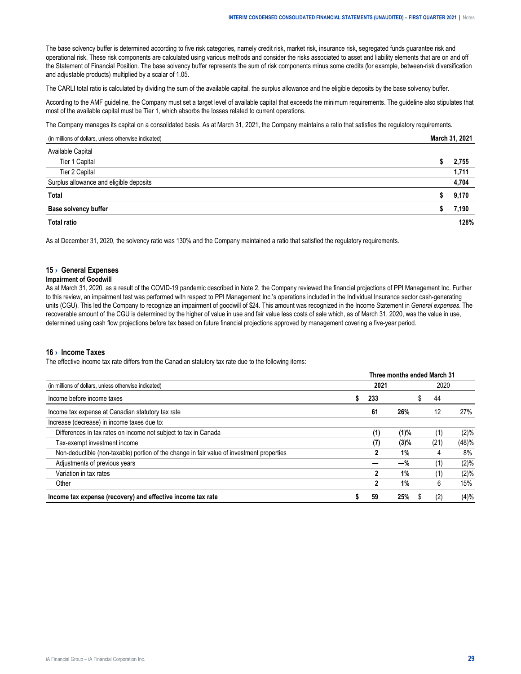<span id="page-28-0"></span>The base solvency buffer is determined according to five risk categories, namely credit risk, market risk, insurance risk, segregated funds guarantee risk and operational risk. These risk components are calculated using various methods and consider the risks associated to asset and liability elements that are on and off the Statement of Financial Position. The base solvency buffer represents the sum of risk components minus some credits (for example, between-risk diversification and adjustable products) multiplied by a scalar of 1.05.

The CARLI total ratio is calculated by dividing the sum of the available capital, the surplus allowance and the eligible deposits by the base solvency buffer.

According to the AMF guideline, the Company must set a target level of available capital that exceeds the minimum requirements. The guideline also stipulates that most of the available capital must be Tier 1, which absorbs the losses related to current operations.

The Company manages its capital on a consolidated basis. As at March 31, 2021, the Company maintains a ratio that satisfies the regulatory requirements.

| (in millions of dollars, unless otherwise indicated) | 2021 |
|------------------------------------------------------|------|
|                                                      |      |
| Canital<br>Tier 1                                    | 755  |
| Tier 2 Capital                                       |      |
| plus allowance and eligible deposits                 | 704  |
| Total                                                |      |
| butter<br><b>Base solvency</b>                       |      |
| Tot:                                                 |      |

As at December 31, 2020, the solvency ratio was 130% and the Company maintained a ratio that satisfied the regulatory requirements.

## **15 › General Expenses**

#### **Impairment of Goodwill**

As at March 31, 2020, as a result of the COVID-19 pandemic described in Note 2, the Company reviewed the financial projections of PPI Management Inc. Further to this review, an impairment test was performed with respect to PPI Management Inc.'s operations included in the Individual Insurance sector cash-generating units (CGU). This led the Company to recognize an impairment of goodwill of \$24. This amount was recognized in the Income Statement in *General expenses*. The recoverable amount of the CGU is determined by the higher of value in use and fair value less costs of sale which, as of March 31, 2020, was the value in use, determined using cash flow projections before tax based on future financial projections approved by management covering a five-year period.

#### **16 › Income Taxes**

The effective income tax rate differs from the Canadian statutory tax rate due to the following items:

|                                                                                           |      | Three months ended March 31 |      |         |
|-------------------------------------------------------------------------------------------|------|-----------------------------|------|---------|
| (in millions of dollars, unless otherwise indicated)                                      | 2021 |                             | 2020 |         |
| Income before income taxes                                                                | 233  |                             | 44   |         |
| Income tax expense at Canadian statutory tax rate                                         | 61   | 26%                         | 12   | 27%     |
| Increase (decrease) in income taxes due to:                                               |      |                             |      |         |
| Differences in tax rates on income not subject to tax in Canada                           | (1)  | $(1)$ %                     | (1)  | $(2)\%$ |
| Tax-exempt investment income                                                              | (7)  | $(3)\%$                     | (21) | (48)%   |
| Non-deductible (non-taxable) portion of the change in fair value of investment properties | 2    | 1%                          | 4    | 8%      |
| Adjustments of previous years                                                             |      | $-\%$                       | (1)  | (2)%    |
| Variation in tax rates                                                                    |      | 1%                          | (1)  | (2)%    |
| Other                                                                                     | 2    | 1%                          | 6    | 15%     |
| Income tax expense (recovery) and effective income tax rate                               | 59   | 25%                         | (2)  | (4)%    |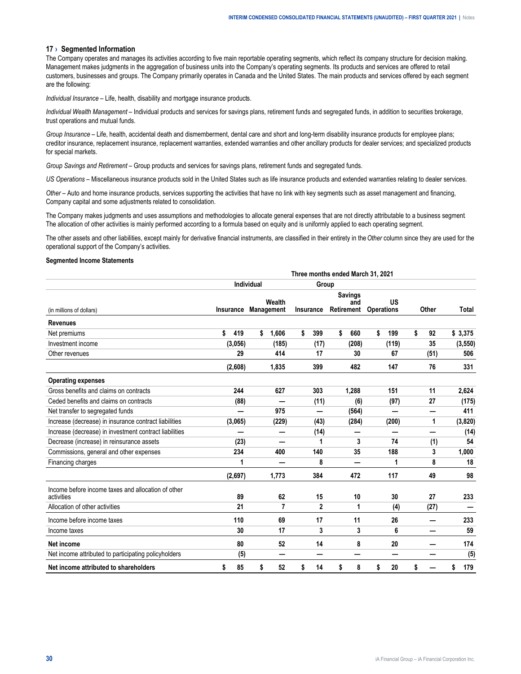#### <span id="page-29-0"></span>**17 › Segmented Information**

The Company operates and manages its activities according to five main reportable operating segments, which reflect its company structure for decision making. Management makes judgments in the aggregation of business units into the Company's operating segments. Its products and services are offered to retail customers, businesses and groups. The Company primarily operates in Canada and the United States. The main products and services offered by each segment are the following:

*Individual Insurance* – Life, health, disability and mortgage insurance products.

*Individual Wealth Management* – Individual products and services for savings plans, retirement funds and segregated funds, in addition to securities brokerage, trust operations and mutual funds.

*Group Insurance* – Life, health, accidental death and dismemberment, dental care and short and long-term disability insurance products for employee plans; creditor insurance, replacement insurance, replacement warranties, extended warranties and other ancillary products for dealer services; and specialized products for special markets.

*Group Savings and Retirement* – Group products and services for savings plans, retirement funds and segregated funds.

*US Operations* – Miscellaneous insurance products sold in the United States such as life insurance products and extended warranties relating to dealer services.

*Other* – Auto and home insurance products, services supporting the activities that have no link with key segments such as asset management and financing, Company capital and some adjustments related to consolidation.

The Company makes judgments and uses assumptions and methodologies to allocate general expenses that are not directly attributable to a business segment. The allocation of other activities is mainly performed according to a formula based on equity and is uniformly applied to each operating segment.

The other assets and other liabilities, except mainly for derivative financial instruments, are classified in their entirety in the *Other* column since they are used for the operational support of the Company's activities.

#### **Segmented Income Statements**

|                                                                  | Three months ended March 31, 2021 |            |                      |    |                |            |                       |    |                         |              |      |           |  |
|------------------------------------------------------------------|-----------------------------------|------------|----------------------|----|----------------|------------|-----------------------|----|-------------------------|--------------|------|-----------|--|
|                                                                  |                                   | Individual |                      |    | Group          |            |                       |    |                         |              |      |           |  |
| (in millions of dollars)                                         | Insurance                         |            | Wealth<br>Management |    | Insurance      | Retirement | <b>Savings</b><br>and |    | US<br><b>Operations</b> | <b>Other</b> |      | Total     |  |
| <b>Revenues</b>                                                  |                                   |            |                      |    |                |            |                       |    |                         |              |      |           |  |
| Net premiums                                                     | \$<br>419                         | \$         | 1,606                | \$ | 399            | \$         | 660                   | \$ | 199                     | \$           | 92   | \$3,375   |  |
| Investment income                                                | (3,056)                           |            | (185)                |    | (17)           |            | (208)                 |    | (119)                   |              | 35   | (3, 550)  |  |
| Other revenues                                                   | 29                                |            | 414                  |    | 17             |            | 30                    |    | 67                      |              | (51) | 506       |  |
|                                                                  | (2,608)                           |            | 1,835                |    | 399            |            | 482                   |    | 147                     |              | 76   | 331       |  |
| <b>Operating expenses</b>                                        |                                   |            |                      |    |                |            |                       |    |                         |              |      |           |  |
| Gross benefits and claims on contracts                           | 244                               |            | 627                  |    | 303            |            | 1,288                 |    | 151                     |              | 11   | 2,624     |  |
| Ceded benefits and claims on contracts                           | (88)                              |            |                      |    | (11)           |            | (6)                   |    | (97)                    |              | 27   | (175)     |  |
| Net transfer to segregated funds                                 |                                   |            | 975                  |    | $\equiv$       |            | (564)                 |    | ═                       |              |      | 411       |  |
| Increase (decrease) in insurance contract liabilities            | (3,065)                           |            | (229)                |    | (43)           |            | (284)                 |    | (200)                   |              | 1    | (3,820)   |  |
| Increase (decrease) in investment contract liabilities           |                                   |            |                      |    | (14)           |            |                       |    |                         |              |      | (14)      |  |
| Decrease (increase) in reinsurance assets                        | (23)                              |            |                      |    | 1              |            | 3                     |    | 74                      |              | (1)  | 54        |  |
| Commissions, general and other expenses                          | 234                               |            | 400                  |    | 140            |            | 35                    |    | 188                     |              | 3    | 1,000     |  |
| Financing charges                                                | 1                                 |            |                      |    | 8              |            | —                     |    | 1                       |              | 8    | 18        |  |
|                                                                  | (2,697)                           |            | 1.773                |    | 384            |            | 472                   |    | 117                     |              | 49   | 98        |  |
| Income before income taxes and allocation of other<br>activities | 89                                |            | 62                   |    | 15             |            | 10                    |    | 30                      |              | 27   | 233       |  |
| Allocation of other activities                                   | 21                                |            | 7                    |    | $\overline{2}$ |            | 1                     |    | (4)                     |              | (27) |           |  |
| Income before income taxes                                       | 110                               |            | 69                   |    | 17             |            | 11                    |    | 26                      |              |      | 233       |  |
| Income taxes                                                     | 30                                |            | 17                   |    | 3              |            | 3                     |    | 6                       |              | —    | 59        |  |
| Net income                                                       | 80                                |            | 52                   |    | 14             |            | 8                     |    | 20                      |              |      | 174       |  |
| Net income attributed to participating policyholders             | (5)                               |            |                      |    |                |            |                       |    |                         |              |      | (5)       |  |
| Net income attributed to shareholders                            | \$<br>85                          | \$         | 52                   | \$ | 14             | \$         | 8                     | \$ | 20                      | \$           |      | 179<br>\$ |  |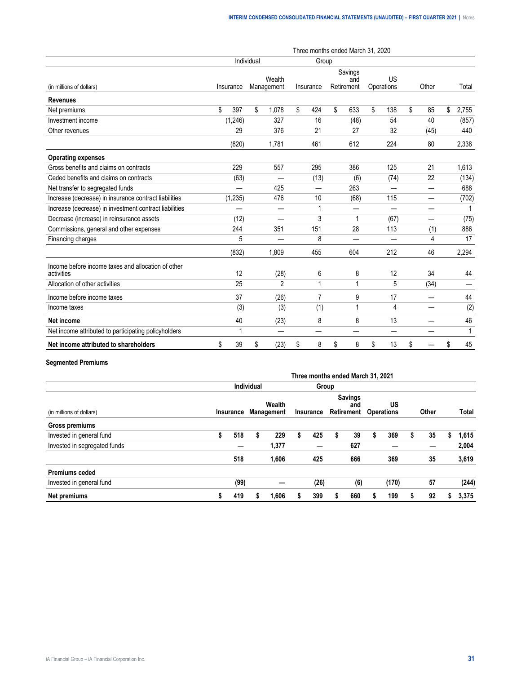|                                                                  | Three months ended March 31, 2020 |          |            |                      |    |           |    |                              |    |                  |    |       |             |
|------------------------------------------------------------------|-----------------------------------|----------|------------|----------------------|----|-----------|----|------------------------------|----|------------------|----|-------|-------------|
|                                                                  |                                   |          | Individual |                      |    | Group     |    |                              |    |                  |    |       |             |
| (in millions of dollars)                                         | Insurance                         |          |            | Wealth<br>Management |    | Insurance |    | Savings<br>and<br>Retirement |    | US<br>Operations |    | Other | Total       |
| <b>Revenues</b>                                                  |                                   |          |            |                      |    |           |    |                              |    |                  |    |       |             |
| Net premiums                                                     | \$                                | 397      | \$         | 1,078                | \$ | 424       | \$ | 633                          | \$ | 138              | \$ | 85    | \$<br>2,755 |
| Investment income                                                |                                   | (1, 246) |            | 327                  |    | 16        |    | (48)                         |    | 54               |    | 40    | (857)       |
| Other revenues                                                   |                                   | 29       |            | 376                  |    | 21        |    | 27                           |    | 32               |    | (45)  | 440         |
|                                                                  |                                   | (820)    |            | 1,781                |    | 461       |    | 612                          |    | 224              |    | 80    | 2,338       |
| <b>Operating expenses</b>                                        |                                   |          |            |                      |    |           |    |                              |    |                  |    |       |             |
| Gross benefits and claims on contracts                           |                                   | 229      |            | 557                  |    | 295       |    | 386                          |    | 125              |    | 21    | 1,613       |
| Ceded benefits and claims on contracts                           |                                   | (63)     |            |                      |    | (13)      |    | (6)                          |    | (74)             |    | 22    | (134)       |
| Net transfer to segregated funds                                 |                                   |          |            | 425                  |    |           |    | 263                          |    |                  |    |       | 688         |
| Increase (decrease) in insurance contract liabilities            |                                   | (1, 235) |            | 476                  |    | 10        |    | (68)                         |    | 115              |    | —     | (702)       |
| Increase (decrease) in investment contract liabilities           |                                   |          |            |                      |    | 1         |    |                              |    |                  |    |       |             |
| Decrease (increase) in reinsurance assets                        |                                   | (12)     |            |                      |    | 3         |    | 1                            |    | (67)             |    | —     | (75)        |
| Commissions, general and other expenses                          |                                   | 244      |            | 351                  |    | 151       |    | 28                           |    | 113              |    | (1)   | 886         |
| Financing charges                                                |                                   | 5        |            |                      |    | 8         |    |                              |    | —                |    | 4     | 17          |
|                                                                  |                                   | (832)    |            | 1.809                |    | 455       |    | 604                          |    | 212              |    | 46    | 2,294       |
| Income before income taxes and allocation of other<br>activities |                                   | 12       |            | (28)                 |    | 6         |    | 8                            |    | 12               |    | 34    | 44          |
| Allocation of other activities                                   |                                   | 25       |            | $\overline{2}$       |    | 1         |    | 1                            |    | 5                |    | (34)  |             |
| Income before income taxes                                       |                                   | 37       |            | (26)                 |    | 7         |    | 9                            |    | 17               |    |       | 44          |
| Income taxes                                                     |                                   | (3)      |            | (3)                  |    | (1)       |    | 1                            |    | 4                |    |       | (2)         |
| Net income                                                       |                                   | 40       |            | (23)                 |    | 8         |    | 8                            |    | 13               |    |       | 46          |
| Net income attributed to participating policyholders             |                                   |          |            |                      |    |           |    |                              |    | _                |    |       | 1           |
| Net income attributed to shareholders                            | \$                                | 39       | \$         | (23)                 | \$ | 8         | \$ | 8                            | \$ | 13               | \$ |       | \$<br>45    |

# **Segmented Premiums**

|                              | Three months ended March 31, 2021 |                     |   |                                |   |                      |   |                       |                         |       |   |       |   |       |
|------------------------------|-----------------------------------|---------------------|---|--------------------------------|---|----------------------|---|-----------------------|-------------------------|-------|---|-------|---|-------|
|                              |                                   | Individual<br>Group |   |                                |   |                      |   |                       |                         |       |   |       |   |       |
| (in millions of dollars)     |                                   |                     |   | Wealth<br>Insurance Management |   | Insurance Retirement |   | <b>Savings</b><br>and | US<br><b>Operations</b> |       |   | Other |   | Total |
| Gross premiums               |                                   |                     |   |                                |   |                      |   |                       |                         |       |   |       |   |       |
| Invested in general fund     |                                   | 518                 |   | 229                            | s | 425                  | S | 39                    | S                       | 369   | S | 35    | ж | 1,615 |
| Invested in segregated funds |                                   |                     |   | 1,377                          |   |                      |   | 627                   |                         |       |   |       |   | 2,004 |
|                              |                                   | 518                 |   | 1,606                          |   | 425                  |   | 666                   |                         | 369   |   | 35    |   | 3,619 |
| <b>Premiums ceded</b>        |                                   |                     |   |                                |   |                      |   |                       |                         |       |   |       |   |       |
| Invested in general fund     |                                   | (99)                |   |                                |   | (26)                 |   | (6)                   |                         | (170) |   | 57    |   | (244) |
| Net premiums                 |                                   | 419                 | ъ | 1,606                          |   | 399                  | S | 660                   |                         | 199   |   | 92    | 5 | 3,375 |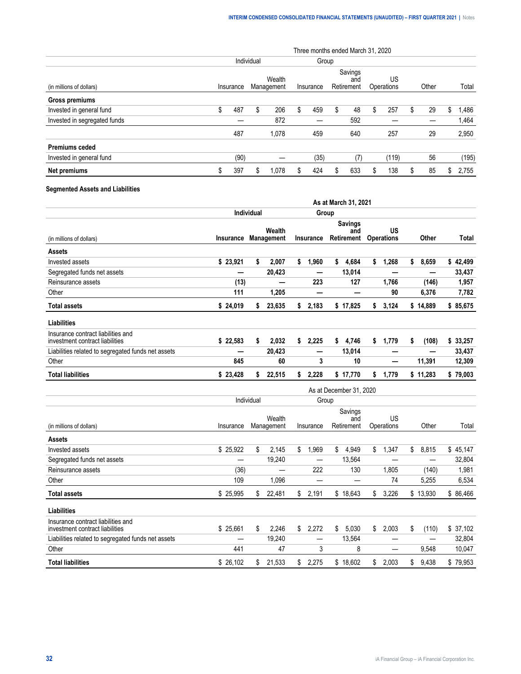|                              | Three months ended March 31, 2020 |      |            |                      |                                           |       |   |                  |   |       |       |    |       |       |
|------------------------------|-----------------------------------|------|------------|----------------------|-------------------------------------------|-------|---|------------------|---|-------|-------|----|-------|-------|
|                              |                                   |      | Individual |                      |                                           | Group |   |                  |   |       |       |    |       |       |
| (in millions of dollars)     | Insurance                         |      |            | Wealth<br>Management | Savings<br>and<br>Retirement<br>Insurance |       |   | US<br>Operations |   |       | Other |    | Total |       |
| Gross premiums               |                                   |      |            |                      |                                           |       |   |                  |   |       |       |    |       |       |
| Invested in general fund     | S                                 | 487  | S          | 206                  | S                                         | 459   | S | 48               | S | 257   | S.    | 29 | S.    | .486  |
| Invested in segregated funds |                                   |      |            | 872                  |                                           |       |   | 592              |   |       |       |    |       | 1,464 |
|                              |                                   | 487  |            | 1.078                |                                           | 459   |   | 640              |   | 257   |       | 29 |       | 2,950 |
| <b>Premiums ceded</b>        |                                   |      |            |                      |                                           |       |   |                  |   |       |       |    |       |       |
| Invested in general fund     |                                   | (90) |            |                      |                                           | (35)  |   | (7)              |   | (119) |       | 56 |       | (195) |
| Net premiums                 | ა                                 | 397  | S          | 1.078                |                                           | 424   | S | 633              |   | 138   |       | 85 | S     | 2,755 |

# **Segmented Assets and Liabilities**

|                                                                       |           |                     |                             |    |           |       | As at March 31, 2021                |                         |             |          |
|-----------------------------------------------------------------------|-----------|---------------------|-----------------------------|----|-----------|-------|-------------------------------------|-------------------------|-------------|----------|
|                                                                       |           | <b>Individual</b>   |                             |    |           | Group |                                     |                         |             |          |
| (in millions of dollars)                                              | Insurance |                     | Wealth<br><b>Management</b> |    | Insurance |       | <b>Savings</b><br>and<br>Retirement | US<br><b>Operations</b> | Other       | Total    |
| Assets                                                                |           |                     |                             |    |           |       |                                     |                         |             |          |
| Invested assets                                                       | \$23,921  | \$                  | 2,007                       | \$ | 1,960     | \$    | 4,684                               | \$<br>1,268             | \$<br>8,659 | \$42,499 |
| Segregated funds net assets                                           |           |                     | 20,423                      |    | –         |       | 13,014                              |                         | –           | 33,437   |
| Reinsurance assets                                                    | (13)      |                     |                             |    | 223       |       | 127                                 | 1,766                   | (146)       | 1,957    |
| Other                                                                 | 111       |                     | 1,205                       |    |           |       |                                     | 90                      | 6,376       | 7,782    |
| <b>Total assets</b>                                                   | \$24,019  | S.                  | 23,635                      | \$ | 2,183     |       | \$17,825                            | \$<br>3,124             | \$14,889    | \$85,675 |
| <b>Liabilities</b>                                                    |           |                     |                             |    |           |       |                                     |                         |             |          |
| Insurance contract liabilities and<br>investment contract liabilities | \$22,583  | \$                  | 2,032                       | \$ | 2,225     | \$    | 4,746                               | \$<br>1,779             | \$<br>(108) | \$33,257 |
| Liabilities related to segregated funds net assets                    |           |                     | 20,423                      |    | —         |       | 13,014                              |                         |             | 33,437   |
| Other                                                                 | 845       |                     | 60                          |    | 3         |       | 10                                  | —                       | 11,391      | 12,309   |
| <b>Total liabilities</b>                                              | \$23,428  | s                   | 22,515                      | s. | 2,228     |       | \$17,770                            | \$<br>1,779             | \$11,283    | \$79,003 |
|                                                                       |           |                     |                             |    |           |       | As at December 31, 2020             |                         |             |          |
|                                                                       |           | والمستحلف والمستعاد |                             |    | $\sim$    |       |                                     |                         |             |          |

|                                                                       | Individual | Group |                      |             |    |                              |    |                  |       |          |           |
|-----------------------------------------------------------------------|------------|-------|----------------------|-------------|----|------------------------------|----|------------------|-------|----------|-----------|
| (in millions of dollars)                                              | Insurance  |       | Wealth<br>Management | Insurance   |    | Savings<br>and<br>Retirement |    | US<br>Operations | Other |          | Total     |
| Assets                                                                |            |       |                      |             |    |                              |    |                  |       |          |           |
| Invested assets                                                       | \$25,922   | \$    | 2,145                | \$<br>1,969 | \$ | 4,949                        | \$ | 1,347            | \$    | 8,815    | \$45,147  |
| Segregated funds net assets                                           |            |       | 19,240               |             |    | 13,564                       |    |                  |       |          | 32,804    |
| Reinsurance assets                                                    | (36)       |       |                      | 222         |    | 130                          |    | 1,805            |       | (140)    | 1,981     |
| Other                                                                 | 109        |       | 1.096                |             |    |                              |    | 74               |       | 5,255    | 6,534     |
| <b>Total assets</b>                                                   | \$ 25,995  | \$    | 22,481               | \$<br>2,191 |    | \$18,643                     | \$ | 3,226            |       | \$13,930 | \$ 86,466 |
| Liabilities                                                           |            |       |                      |             |    |                              |    |                  |       |          |           |
| Insurance contract liabilities and<br>investment contract liabilities | \$25,661   | \$    | 2,246                | \$<br>2,272 | \$ | 5,030                        | \$ | 2,003            | \$    | (110)    | \$37,102  |
| Liabilities related to segregated funds net assets                    |            |       | 19.240               | –           |    | 13,564                       |    |                  |       | –        | 32,804    |
| Other                                                                 | 441        |       | 47                   | 3           |    | 8                            |    |                  |       | 9,548    | 10,047    |
| Total liabilities                                                     | \$26,102   | S.    | 21,533               | \$<br>2,275 |    | \$18,602                     | \$ | 2,003            | \$    | 9,438    | \$79,953  |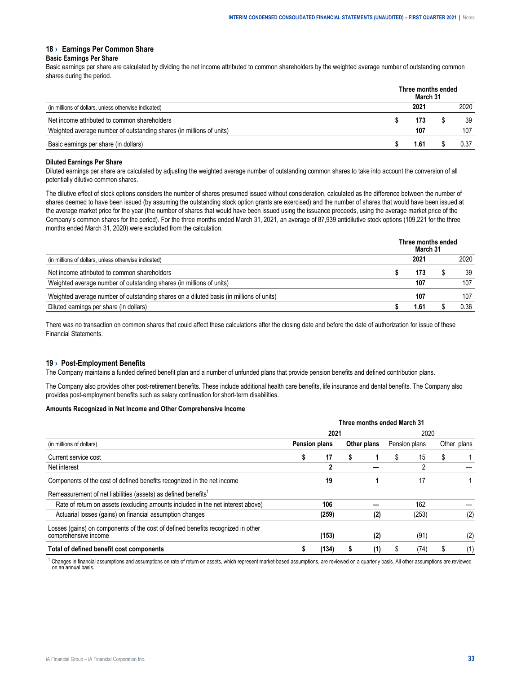## <span id="page-32-0"></span>**18 › Earnings Per Common Share**

#### **Basic Earnings Per Share**

Basic earnings per share are calculated by dividing the net income attributed to common shareholders by the weighted average number of outstanding common shares during the period.

|                                                                      | Three months ended<br>March 31 |      |
|----------------------------------------------------------------------|--------------------------------|------|
| (in millions of dollars, unless otherwise indicated)                 | 2021                           | 2020 |
| Net income attributed to common shareholders                         |                                | 39   |
| Weighted average number of outstanding shares (in millions of units) | 107                            |      |
| Basic earnings per share (in dollars)                                |                                |      |

#### **Diluted Earnings Per Share**

Diluted earnings per share are calculated by adjusting the weighted average number of outstanding common shares to take into account the conversion of all potentially dilutive common shares.

The dilutive effect of stock options considers the number of shares presumed issued without consideration, calculated as the difference between the number of shares deemed to have been issued (by assuming the outstanding stock option grants are exercised) and the number of shares that would have been issued at the average market price for the year (the number of shares that would have been issued using the issuance proceeds, using the average market price of the Company's common shares for the period). For the three months ended March 31, 2021, an average of 87,939 antidilutive stock options (109,221 for the three months ended March 31, 2020) were excluded from the calculation.

|                                                                                         | Three months ended<br>March 31 |  |  |     |  |  |  |
|-----------------------------------------------------------------------------------------|--------------------------------|--|--|-----|--|--|--|
| (in millions of dollars, unless otherwise indicated)                                    |                                |  |  |     |  |  |  |
| Net income attributed to common shareholders                                            |                                |  |  | 39  |  |  |  |
| Weighted average number of outstanding shares (in millions of units)                    |                                |  |  | 107 |  |  |  |
| Weighted average number of outstanding shares on a diluted basis (in millions of units) |                                |  |  | 107 |  |  |  |
| Diluted earnings per share (in dollars)                                                 |                                |  |  | 136 |  |  |  |

There was no transaction on common shares that could affect these calculations after the closing date and before the date of authorization for issue of these Financial Statements.

#### **19 › Post-Employment Benefits**

The Company maintains a funded defined benefit plan and a number of unfunded plans that provide pension benefits and defined contribution plans.

The Company also provides other post-retirement benefits. These include additional health care benefits, life insurance and dental benefits. The Company also provides post-employment benefits such as salary continuation for short-term disabilities.

#### **Amounts Recognized in Net Income and Other Comprehensive Income**

|                                                                                                          | Three months ended March 31 |       |             |     |               |       |             |     |  |
|----------------------------------------------------------------------------------------------------------|-----------------------------|-------|-------------|-----|---------------|-------|-------------|-----|--|
| (in millions of dollars)                                                                                 | 2021                        |       |             |     | 2020          |       |             |     |  |
|                                                                                                          | <b>Pension plans</b>        |       | Other plans |     | Pension plans |       | Other plans |     |  |
| Current service cost                                                                                     |                             | 17    |             |     |               | 15    |             |     |  |
| Net interest                                                                                             |                             | 2     |             |     |               |       |             |     |  |
| Components of the cost of defined benefits recognized in the net income                                  |                             | 19    |             |     |               | 17    |             |     |  |
| Remeasurement of net liabilities (assets) as defined benefits <sup>1</sup>                               |                             |       |             |     |               |       |             |     |  |
| Rate of return on assets (excluding amounts included in the net interest above)                          |                             | 106   |             |     |               | 162   |             |     |  |
| Actuarial losses (gains) on financial assumption changes                                                 |                             | (259) |             | (2) |               | (253) |             | (2) |  |
| Losses (gains) on components of the cost of defined benefits recognized in other<br>comprehensive income |                             | (153) |             | (2) |               | (91)  |             | (2) |  |
| Total of defined benefit cost components                                                                 |                             | (134) |             | (1) |               | 74)   |             | (1) |  |

 $1$  Changes in financial assumptions and assumptions on rate of return on assets, which represent market-based assumptions, are reviewed on a quarterly basis. All other assumptions are reviewed on an annual basis.